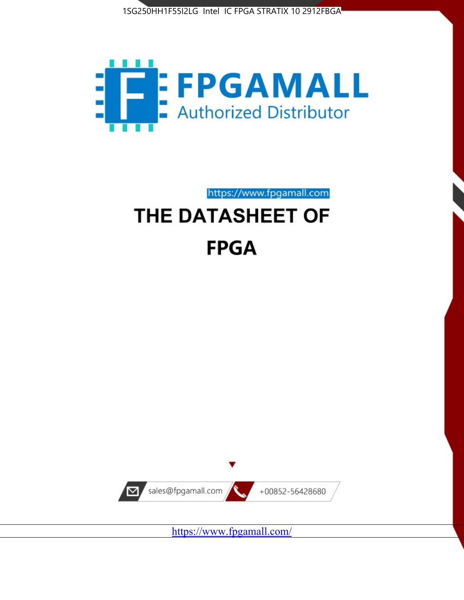



https://www.fpgamall.com

# THE DATASHEET OF **FPGA**



<https://www.fpgamall.com/>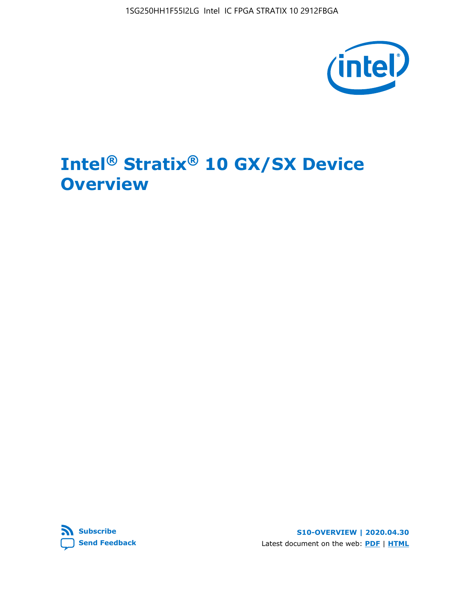1SG250HH1F55I2LG Intel IC FPGA STRATIX 10 2912FBGA



# **Intel® Stratix® 10 GX/SX Device Overview**



**S10-OVERVIEW | 2020.04.30** Latest document on the web: **[PDF](https://www.intel.com/content/dam/www/programmable/us/en/pdfs/literature/hb/stratix-10/s10-overview.pdf)** | **[HTML](https://www.intel.com/content/www/us/en/programmable/documentation/joc1442261161666.html)**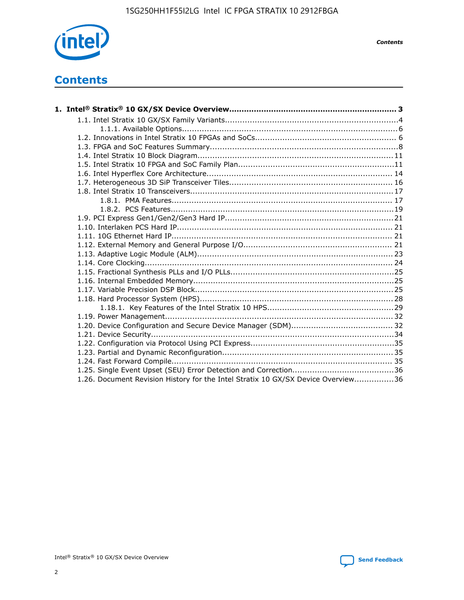

*Contents*

# **Contents**

| 1.26. Document Revision History for the Intel Stratix 10 GX/SX Device Overview36 |  |
|----------------------------------------------------------------------------------|--|

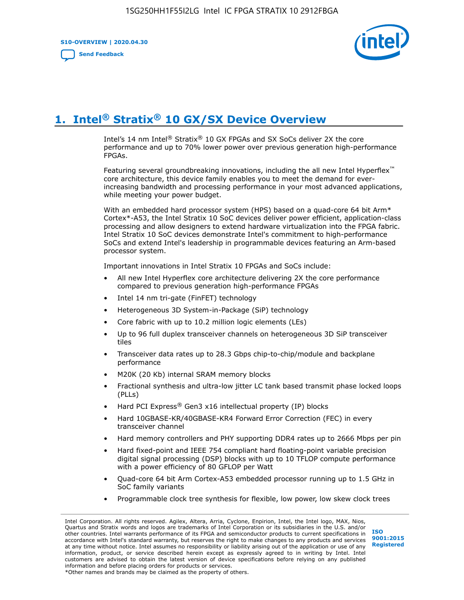**S10-OVERVIEW | 2020.04.30**

**[Send Feedback](mailto:FPGAtechdocfeedback@intel.com?subject=Feedback%20on%20Intel%20Stratix%2010%20GX/SX%20Device%20Overview%20(S10-OVERVIEW%202020.04.30)&body=We%20appreciate%20your%20feedback.%20In%20your%20comments,%20also%20specify%20the%20page%20number%20or%20paragraph.%20Thank%20you.)**



# **1. Intel® Stratix® 10 GX/SX Device Overview**

Intel's 14 nm Intel® Stratix® 10 GX FPGAs and SX SoCs deliver 2X the core performance and up to 70% lower power over previous generation high-performance FPGAs.

Featuring several groundbreaking innovations, including the all new Intel Hyperflex™ core architecture, this device family enables you to meet the demand for everincreasing bandwidth and processing performance in your most advanced applications, while meeting your power budget.

With an embedded hard processor system (HPS) based on a quad-core 64 bit Arm\* Cortex\*-A53, the Intel Stratix 10 SoC devices deliver power efficient, application-class processing and allow designers to extend hardware virtualization into the FPGA fabric. Intel Stratix 10 SoC devices demonstrate Intel's commitment to high-performance SoCs and extend Intel's leadership in programmable devices featuring an Arm-based processor system.

Important innovations in Intel Stratix 10 FPGAs and SoCs include:

- All new Intel Hyperflex core architecture delivering 2X the core performance compared to previous generation high-performance FPGAs
- Intel 14 nm tri-gate (FinFET) technology
- Heterogeneous 3D System-in-Package (SiP) technology
- Core fabric with up to 10.2 million logic elements (LEs)
- Up to 96 full duplex transceiver channels on heterogeneous 3D SiP transceiver tiles
- Transceiver data rates up to 28.3 Gbps chip-to-chip/module and backplane performance
- M20K (20 Kb) internal SRAM memory blocks
- Fractional synthesis and ultra-low jitter LC tank based transmit phase locked loops (PLLs)
- Hard PCI Express<sup>®</sup> Gen3 x16 intellectual property (IP) blocks
- Hard 10GBASE-KR/40GBASE-KR4 Forward Error Correction (FEC) in every transceiver channel
- Hard memory controllers and PHY supporting DDR4 rates up to 2666 Mbps per pin
- Hard fixed-point and IEEE 754 compliant hard floating-point variable precision digital signal processing (DSP) blocks with up to 10 TFLOP compute performance with a power efficiency of 80 GFLOP per Watt
- Quad-core 64 bit Arm Cortex-A53 embedded processor running up to 1.5 GHz in SoC family variants
- Programmable clock tree synthesis for flexible, low power, low skew clock trees

Intel Corporation. All rights reserved. Agilex, Altera, Arria, Cyclone, Enpirion, Intel, the Intel logo, MAX, Nios, Quartus and Stratix words and logos are trademarks of Intel Corporation or its subsidiaries in the U.S. and/or other countries. Intel warrants performance of its FPGA and semiconductor products to current specifications in accordance with Intel's standard warranty, but reserves the right to make changes to any products and services at any time without notice. Intel assumes no responsibility or liability arising out of the application or use of any information, product, or service described herein except as expressly agreed to in writing by Intel. Intel customers are advised to obtain the latest version of device specifications before relying on any published information and before placing orders for products or services. \*Other names and brands may be claimed as the property of others.

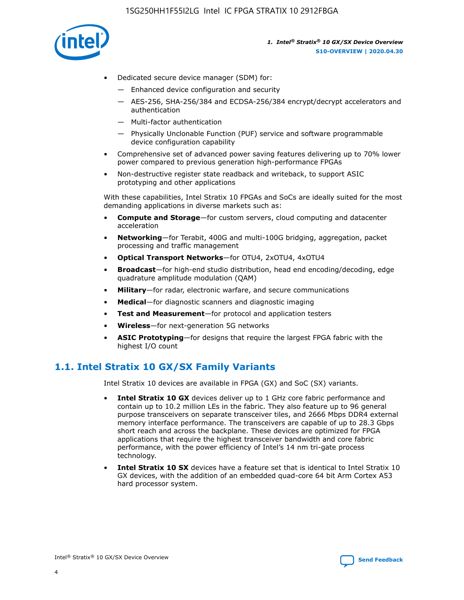

- Dedicated secure device manager (SDM) for:
	- Enhanced device configuration and security
	- AES-256, SHA-256/384 and ECDSA-256/384 encrypt/decrypt accelerators and authentication
	- Multi-factor authentication
	- Physically Unclonable Function (PUF) service and software programmable device configuration capability
- Comprehensive set of advanced power saving features delivering up to 70% lower power compared to previous generation high-performance FPGAs
- Non-destructive register state readback and writeback, to support ASIC prototyping and other applications

With these capabilities, Intel Stratix 10 FPGAs and SoCs are ideally suited for the most demanding applications in diverse markets such as:

- **Compute and Storage**—for custom servers, cloud computing and datacenter acceleration
- **Networking**—for Terabit, 400G and multi-100G bridging, aggregation, packet processing and traffic management
- **Optical Transport Networks**—for OTU4, 2xOTU4, 4xOTU4
- **Broadcast**—for high-end studio distribution, head end encoding/decoding, edge quadrature amplitude modulation (QAM)
- **Military**—for radar, electronic warfare, and secure communications
- **Medical**—for diagnostic scanners and diagnostic imaging
- **Test and Measurement**—for protocol and application testers
- **Wireless**—for next-generation 5G networks
- **ASIC Prototyping**—for designs that require the largest FPGA fabric with the highest I/O count

## **1.1. Intel Stratix 10 GX/SX Family Variants**

Intel Stratix 10 devices are available in FPGA (GX) and SoC (SX) variants.

- **Intel Stratix 10 GX** devices deliver up to 1 GHz core fabric performance and contain up to 10.2 million LEs in the fabric. They also feature up to 96 general purpose transceivers on separate transceiver tiles, and 2666 Mbps DDR4 external memory interface performance. The transceivers are capable of up to 28.3 Gbps short reach and across the backplane. These devices are optimized for FPGA applications that require the highest transceiver bandwidth and core fabric performance, with the power efficiency of Intel's 14 nm tri-gate process technology.
- **Intel Stratix 10 SX** devices have a feature set that is identical to Intel Stratix 10 GX devices, with the addition of an embedded quad-core 64 bit Arm Cortex A53 hard processor system.

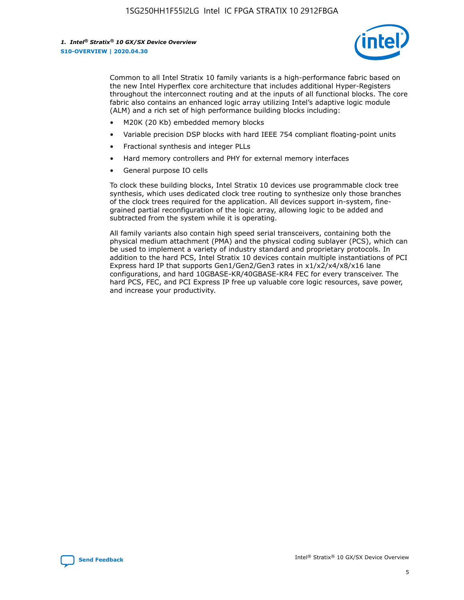

Common to all Intel Stratix 10 family variants is a high-performance fabric based on the new Intel Hyperflex core architecture that includes additional Hyper-Registers throughout the interconnect routing and at the inputs of all functional blocks. The core fabric also contains an enhanced logic array utilizing Intel's adaptive logic module (ALM) and a rich set of high performance building blocks including:

- M20K (20 Kb) embedded memory blocks
- Variable precision DSP blocks with hard IEEE 754 compliant floating-point units
- Fractional synthesis and integer PLLs
- Hard memory controllers and PHY for external memory interfaces
- General purpose IO cells

To clock these building blocks, Intel Stratix 10 devices use programmable clock tree synthesis, which uses dedicated clock tree routing to synthesize only those branches of the clock trees required for the application. All devices support in-system, finegrained partial reconfiguration of the logic array, allowing logic to be added and subtracted from the system while it is operating.

All family variants also contain high speed serial transceivers, containing both the physical medium attachment (PMA) and the physical coding sublayer (PCS), which can be used to implement a variety of industry standard and proprietary protocols. In addition to the hard PCS, Intel Stratix 10 devices contain multiple instantiations of PCI Express hard IP that supports Gen1/Gen2/Gen3 rates in x1/x2/x4/x8/x16 lane configurations, and hard 10GBASE-KR/40GBASE-KR4 FEC for every transceiver. The hard PCS, FEC, and PCI Express IP free up valuable core logic resources, save power, and increase your productivity.

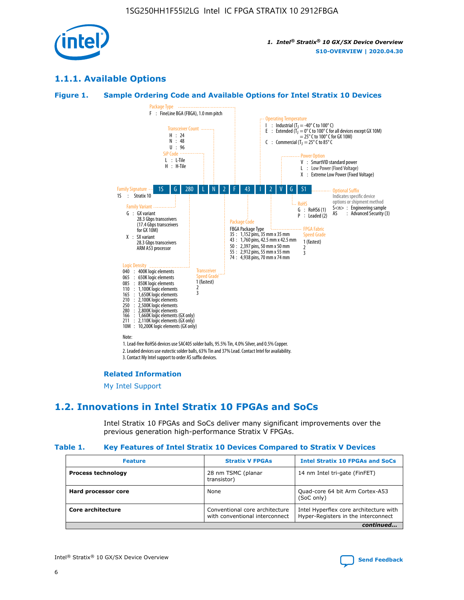

## **1.1.1. Available Options**

#### **Figure 1. Sample Ordering Code and Available Options for Intel Stratix 10 Devices**



## **Related Information**

[My Intel Support](https://www.intel.com/content/www/us/en/programmable/my-intel/mal-home.html)

## **1.2. Innovations in Intel Stratix 10 FPGAs and SoCs**

Intel Stratix 10 FPGAs and SoCs deliver many significant improvements over the previous generation high-performance Stratix V FPGAs.

#### **Table 1. Key Features of Intel Stratix 10 Devices Compared to Stratix V Devices**

| <b>Feature</b>            | <b>Stratix V FPGAs</b>                                           | <b>Intel Stratix 10 FPGAs and SoCs</b>                                        |
|---------------------------|------------------------------------------------------------------|-------------------------------------------------------------------------------|
| <b>Process technology</b> | 28 nm TSMC (planar<br>transistor)                                | 14 nm Intel tri-gate (FinFET)                                                 |
| Hard processor core       | None                                                             | Quad-core 64 bit Arm Cortex-A53<br>(SoC only)                                 |
| Core architecture         | Conventional core architecture<br>with conventional interconnect | Intel Hyperflex core architecture with<br>Hyper-Registers in the interconnect |
|                           |                                                                  | continued                                                                     |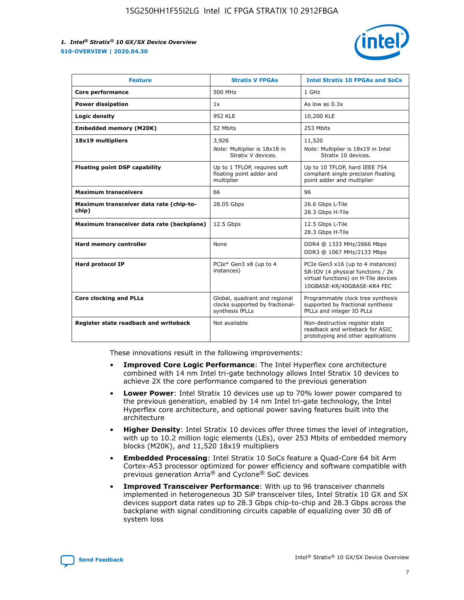

| <b>Feature</b>                                   | <b>Stratix V FPGAs</b>                                                              | <b>Intel Stratix 10 FPGAs and SoCs</b>                                                                                                       |
|--------------------------------------------------|-------------------------------------------------------------------------------------|----------------------------------------------------------------------------------------------------------------------------------------------|
| Core performance                                 | 500 MHz                                                                             | 1 GHz                                                                                                                                        |
| <b>Power dissipation</b>                         | 1x                                                                                  | As low as $0.3x$                                                                                                                             |
| Logic density                                    | 952 KLE                                                                             | 10,200 KLE                                                                                                                                   |
| <b>Embedded memory (M20K)</b>                    | 52 Mbits                                                                            | 253 Mbits                                                                                                                                    |
| 18x19 multipliers                                | 3,926                                                                               | 11,520                                                                                                                                       |
|                                                  | Note: Multiplier is 18x18 in<br>Stratix V devices.                                  | Note: Multiplier is 18x19 in Intel<br>Stratix 10 devices.                                                                                    |
| <b>Floating point DSP capability</b>             | Up to 1 TFLOP, requires soft<br>floating point adder and<br>multiplier              | Up to 10 TFLOP, hard IEEE 754<br>compliant single precision floating<br>point adder and multiplier                                           |
| <b>Maximum transceivers</b>                      | 66                                                                                  | 96                                                                                                                                           |
| Maximum transceiver data rate (chip-to-<br>chip) | 28.05 Gbps                                                                          | 26.6 Gbps L-Tile<br>28.3 Gbps H-Tile                                                                                                         |
| Maximum transceiver data rate (backplane)        | 12.5 Gbps                                                                           | 12.5 Gbps L-Tile<br>28.3 Gbps H-Tile                                                                                                         |
| Hard memory controller                           | None                                                                                | DDR4 @ 1333 MHz/2666 Mbps<br>DDR3 @ 1067 MHz/2133 Mbps                                                                                       |
| <b>Hard protocol IP</b>                          | PCIe* Gen3 x8 (up to 4<br>instances)                                                | PCIe Gen3 x16 (up to 4 instances)<br>SR-IOV (4 physical functions / 2k<br>virtual functions) on H-Tile devices<br>10GBASE-KR/40GBASE-KR4 FEC |
| <b>Core clocking and PLLs</b>                    | Global, quadrant and regional<br>clocks supported by fractional-<br>synthesis fPLLs | Programmable clock tree synthesis<br>supported by fractional synthesis<br>fPLLs and integer IO PLLs                                          |
| Register state readback and writeback            | Not available                                                                       | Non-destructive register state<br>readback and writeback for ASIC<br>prototyping and other applications                                      |

These innovations result in the following improvements:

- **Improved Core Logic Performance**: The Intel Hyperflex core architecture combined with 14 nm Intel tri-gate technology allows Intel Stratix 10 devices to achieve 2X the core performance compared to the previous generation
- **Lower Power**: Intel Stratix 10 devices use up to 70% lower power compared to the previous generation, enabled by 14 nm Intel tri-gate technology, the Intel Hyperflex core architecture, and optional power saving features built into the architecture
- **Higher Density**: Intel Stratix 10 devices offer three times the level of integration, with up to 10.2 million logic elements (LEs), over 253 Mbits of embedded memory blocks (M20K), and 11,520 18x19 multipliers
- **Embedded Processing**: Intel Stratix 10 SoCs feature a Quad-Core 64 bit Arm Cortex-A53 processor optimized for power efficiency and software compatible with previous generation Arria® and Cyclone® SoC devices
- **Improved Transceiver Performance**: With up to 96 transceiver channels implemented in heterogeneous 3D SiP transceiver tiles, Intel Stratix 10 GX and SX devices support data rates up to 28.3 Gbps chip-to-chip and 28.3 Gbps across the backplane with signal conditioning circuits capable of equalizing over 30 dB of system loss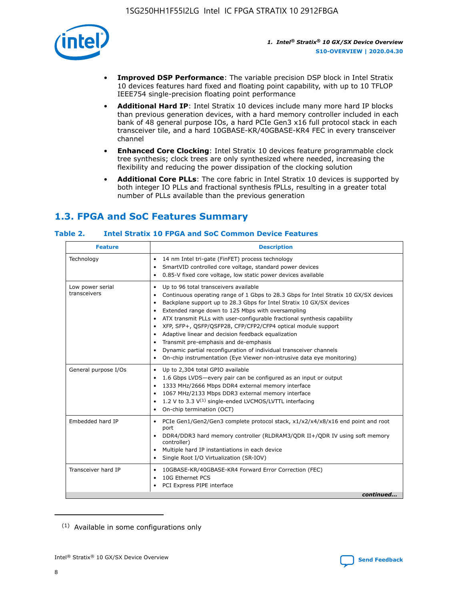

- **Improved DSP Performance**: The variable precision DSP block in Intel Stratix 10 devices features hard fixed and floating point capability, with up to 10 TFLOP IEEE754 single-precision floating point performance
- **Additional Hard IP**: Intel Stratix 10 devices include many more hard IP blocks than previous generation devices, with a hard memory controller included in each bank of 48 general purpose IOs, a hard PCIe Gen3 x16 full protocol stack in each transceiver tile, and a hard 10GBASE-KR/40GBASE-KR4 FEC in every transceiver channel
- **Enhanced Core Clocking**: Intel Stratix 10 devices feature programmable clock tree synthesis; clock trees are only synthesized where needed, increasing the flexibility and reducing the power dissipation of the clocking solution
- **Additional Core PLLs**: The core fabric in Intel Stratix 10 devices is supported by both integer IO PLLs and fractional synthesis fPLLs, resulting in a greater total number of PLLs available than the previous generation

## **1.3. FPGA and SoC Features Summary**

## **Table 2. Intel Stratix 10 FPGA and SoC Common Device Features**

| <b>Feature</b>                   | <b>Description</b>                                                                                                                                                                                                                                                                                                                                                                                                                                                                                                                                                                                                                                                             |
|----------------------------------|--------------------------------------------------------------------------------------------------------------------------------------------------------------------------------------------------------------------------------------------------------------------------------------------------------------------------------------------------------------------------------------------------------------------------------------------------------------------------------------------------------------------------------------------------------------------------------------------------------------------------------------------------------------------------------|
| Technology                       | 14 nm Intel tri-gate (FinFET) process technology<br>٠<br>SmartVID controlled core voltage, standard power devices<br>0.85-V fixed core voltage, low static power devices available                                                                                                                                                                                                                                                                                                                                                                                                                                                                                             |
| Low power serial<br>transceivers | Up to 96 total transceivers available<br>٠<br>Continuous operating range of 1 Gbps to 28.3 Gbps for Intel Stratix 10 GX/SX devices<br>Backplane support up to 28.3 Gbps for Intel Stratix 10 GX/SX devices<br>$\bullet$<br>Extended range down to 125 Mbps with oversampling<br>ATX transmit PLLs with user-configurable fractional synthesis capability<br>٠<br>XFP, SFP+, OSFP/OSFP28, CFP/CFP2/CFP4 optical module support<br>• Adaptive linear and decision feedback equalization<br>Transmit pre-emphasis and de-emphasis<br>Dynamic partial reconfiguration of individual transceiver channels<br>On-chip instrumentation (Eye Viewer non-intrusive data eye monitoring) |
| General purpose I/Os             | Up to 2,304 total GPIO available<br>$\bullet$<br>1.6 Gbps LVDS-every pair can be configured as an input or output<br>1333 MHz/2666 Mbps DDR4 external memory interface<br>1067 MHz/2133 Mbps DDR3 external memory interface<br>• 1.2 V to 3.3 $V^{(1)}$ single-ended LVCMOS/LVTTL interfacing<br>On-chip termination (OCT)                                                                                                                                                                                                                                                                                                                                                     |
| Embedded hard IP                 | • PCIe Gen1/Gen2/Gen3 complete protocol stack, x1/x2/x4/x8/x16 end point and root<br>port<br>DDR4/DDR3 hard memory controller (RLDRAM3/QDR II+/QDR IV using soft memory<br>controller)<br>Multiple hard IP instantiations in each device<br>$\bullet$<br>• Single Root I/O Virtualization (SR-IOV)                                                                                                                                                                                                                                                                                                                                                                             |
| Transceiver hard IP              | 10GBASE-KR/40GBASE-KR4 Forward Error Correction (FEC)<br>$\bullet$<br>10G Ethernet PCS<br>٠<br>PCI Express PIPE interface<br>continued                                                                                                                                                                                                                                                                                                                                                                                                                                                                                                                                         |
|                                  |                                                                                                                                                                                                                                                                                                                                                                                                                                                                                                                                                                                                                                                                                |

<sup>(1)</sup> Available in some configurations only

8

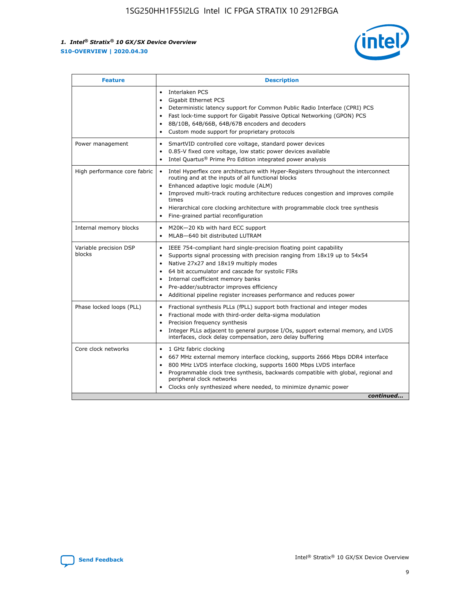

| <b>Feature</b>                   | <b>Description</b>                                                                                                                                                                                                                                                                                                                                                                                                                                                    |  |  |  |
|----------------------------------|-----------------------------------------------------------------------------------------------------------------------------------------------------------------------------------------------------------------------------------------------------------------------------------------------------------------------------------------------------------------------------------------------------------------------------------------------------------------------|--|--|--|
|                                  | Interlaken PCS<br>$\bullet$<br>Gigabit Ethernet PCS<br>$\bullet$<br>Deterministic latency support for Common Public Radio Interface (CPRI) PCS<br>$\bullet$<br>Fast lock-time support for Gigabit Passive Optical Networking (GPON) PCS<br>$\bullet$<br>8B/10B, 64B/66B, 64B/67B encoders and decoders<br>Custom mode support for proprietary protocols                                                                                                               |  |  |  |
| Power management                 | SmartVID controlled core voltage, standard power devices<br>$\bullet$<br>0.85-V fixed core voltage, low static power devices available<br>$\bullet$<br>Intel Quartus <sup>®</sup> Prime Pro Edition integrated power analysis<br>$\bullet$                                                                                                                                                                                                                            |  |  |  |
| High performance core fabric     | Intel Hyperflex core architecture with Hyper-Registers throughout the interconnect<br>routing and at the inputs of all functional blocks<br>Enhanced adaptive logic module (ALM)<br>$\bullet$<br>Improved multi-track routing architecture reduces congestion and improves compile<br>times<br>Hierarchical core clocking architecture with programmable clock tree synthesis<br>$\bullet$<br>Fine-grained partial reconfiguration                                    |  |  |  |
| Internal memory blocks           | M20K-20 Kb with hard ECC support<br>$\bullet$<br>MLAB-640 bit distributed LUTRAM<br>$\bullet$                                                                                                                                                                                                                                                                                                                                                                         |  |  |  |
| Variable precision DSP<br>blocks | IEEE 754-compliant hard single-precision floating point capability<br>$\bullet$<br>Supports signal processing with precision ranging from 18x19 up to 54x54<br>$\bullet$<br>Native 27x27 and 18x19 multiply modes<br>$\bullet$<br>64 bit accumulator and cascade for systolic FIRs<br>Internal coefficient memory banks<br>Pre-adder/subtractor improves efficiency<br>$\bullet$<br>Additional pipeline register increases performance and reduces power<br>$\bullet$ |  |  |  |
| Phase locked loops (PLL)         | Fractional synthesis PLLs (fPLL) support both fractional and integer modes<br>$\bullet$<br>Fractional mode with third-order delta-sigma modulation<br>Precision frequency synthesis<br>$\bullet$<br>Integer PLLs adjacent to general purpose I/Os, support external memory, and LVDS<br>$\bullet$<br>interfaces, clock delay compensation, zero delay buffering                                                                                                       |  |  |  |
| Core clock networks              | 1 GHz fabric clocking<br>$\bullet$<br>667 MHz external memory interface clocking, supports 2666 Mbps DDR4 interface<br>٠<br>800 MHz LVDS interface clocking, supports 1600 Mbps LVDS interface<br>$\bullet$<br>Programmable clock tree synthesis, backwards compatible with global, regional and<br>$\bullet$<br>peripheral clock networks<br>Clocks only synthesized where needed, to minimize dynamic power<br>continued                                            |  |  |  |

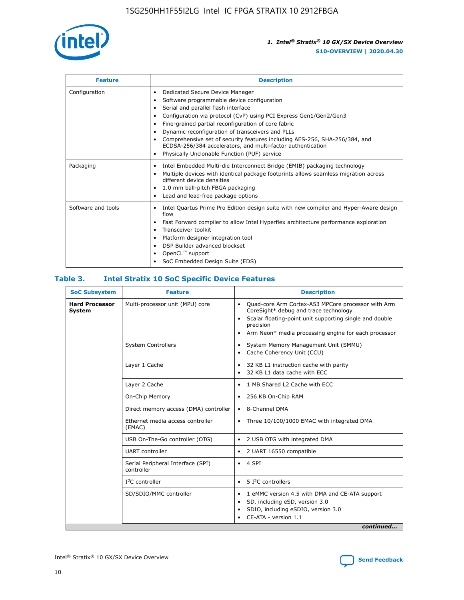

| <b>Feature</b>     | <b>Description</b>                                                                                                                                                                                                                                                                                                                                                                                                                                                                                               |
|--------------------|------------------------------------------------------------------------------------------------------------------------------------------------------------------------------------------------------------------------------------------------------------------------------------------------------------------------------------------------------------------------------------------------------------------------------------------------------------------------------------------------------------------|
| Configuration      | Dedicated Secure Device Manager<br>٠<br>Software programmable device configuration<br>Serial and parallel flash interface<br>Configuration via protocol (CvP) using PCI Express Gen1/Gen2/Gen3<br>Fine-grained partial reconfiguration of core fabric<br>٠<br>Dynamic reconfiguration of transceivers and PLLs<br>٠<br>Comprehensive set of security features including AES-256, SHA-256/384, and<br>ECDSA-256/384 accelerators, and multi-factor authentication<br>Physically Unclonable Function (PUF) service |
| Packaging          | Intel Embedded Multi-die Interconnect Bridge (EMIB) packaging technology<br>٠<br>Multiple devices with identical package footprints allows seamless migration across<br>$\bullet$<br>different device densities<br>1.0 mm ball-pitch FBGA packaging<br>٠<br>Lead and lead-free package options                                                                                                                                                                                                                   |
| Software and tools | Intel Quartus Prime Pro Edition design suite with new compiler and Hyper-Aware design<br>$\bullet$<br>flow<br>Fast Forward compiler to allow Intel Hyperflex architecture performance exploration<br>٠<br>Transceiver toolkit<br>Platform designer integration tool<br>DSP Builder advanced blockset<br>OpenCL <sup>™</sup> support<br>SoC Embedded Design Suite (EDS)                                                                                                                                           |

## **Table 3. Intel Stratix 10 SoC Specific Device Features**

| <b>SoC Subsystem</b>                   | <b>Feature</b>                                  | <b>Description</b>                                                                                                                                                                                                                                                 |  |  |  |
|----------------------------------------|-------------------------------------------------|--------------------------------------------------------------------------------------------------------------------------------------------------------------------------------------------------------------------------------------------------------------------|--|--|--|
| <b>Hard Processor</b><br><b>System</b> | Multi-processor unit (MPU) core                 | Quad-core Arm Cortex-A53 MPCore processor with Arm<br>$\bullet$<br>CoreSight* debug and trace technology<br>Scalar floating-point unit supporting single and double<br>$\bullet$<br>precision<br>Arm Neon* media processing engine for each processor<br>$\bullet$ |  |  |  |
|                                        | <b>System Controllers</b>                       | System Memory Management Unit (SMMU)<br>$\bullet$<br>Cache Coherency Unit (CCU)<br>$\bullet$                                                                                                                                                                       |  |  |  |
|                                        | Layer 1 Cache                                   | 32 KB L1 instruction cache with parity<br>٠<br>32 KB L1 data cache with ECC<br>$\bullet$                                                                                                                                                                           |  |  |  |
|                                        | Layer 2 Cache                                   | 1 MB Shared L2 Cache with ECC<br>$\bullet$                                                                                                                                                                                                                         |  |  |  |
|                                        | On-Chip Memory                                  | 256 KB On-Chip RAM<br>$\bullet$                                                                                                                                                                                                                                    |  |  |  |
|                                        | Direct memory access (DMA) controller           | • 8-Channel DMA                                                                                                                                                                                                                                                    |  |  |  |
|                                        | Ethernet media access controller<br>(EMAC)      | Three 10/100/1000 EMAC with integrated DMA<br>$\bullet$                                                                                                                                                                                                            |  |  |  |
|                                        | USB On-The-Go controller (OTG)                  | 2 USB OTG with integrated DMA<br>$\bullet$                                                                                                                                                                                                                         |  |  |  |
|                                        | <b>UART</b> controller                          | 2 UART 16550 compatible<br>$\bullet$                                                                                                                                                                                                                               |  |  |  |
|                                        | Serial Peripheral Interface (SPI)<br>controller | $\bullet$ 4 SPI                                                                                                                                                                                                                                                    |  |  |  |
|                                        | $I2C$ controller                                | 5 <sup>2</sup> C controllers<br>$\bullet$                                                                                                                                                                                                                          |  |  |  |
|                                        | SD/SDIO/MMC controller                          | 1 eMMC version 4.5 with DMA and CE-ATA support<br>$\bullet$<br>SD, including eSD, version 3.0<br>٠<br>SDIO, including eSDIO, version 3.0<br>CE-ATA - version 1.1<br>continued                                                                                      |  |  |  |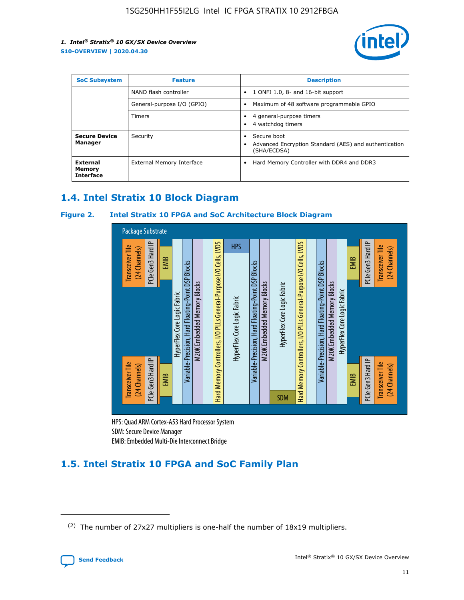

| <b>SoC Subsystem</b>                   | <b>Feature</b>             | <b>Description</b>                                                                               |
|----------------------------------------|----------------------------|--------------------------------------------------------------------------------------------------|
|                                        | NAND flash controller      | 1 ONFI 1.0, 8- and 16-bit support<br>٠                                                           |
|                                        | General-purpose I/O (GPIO) | Maximum of 48 software programmable GPIO<br>٠                                                    |
|                                        | Timers                     | 4 general-purpose timers<br>4 watchdog timers                                                    |
| <b>Secure Device</b><br>Manager        | Security                   | Secure boot<br>$\bullet$<br>Advanced Encryption Standard (AES) and authentication<br>(SHA/ECDSA) |
| External<br>Memory<br><b>Interface</b> | External Memory Interface  | Hard Memory Controller with DDR4 and DDR3<br>٠                                                   |

## **1.4. Intel Stratix 10 Block Diagram**

## **Figure 2. Intel Stratix 10 FPGA and SoC Architecture Block Diagram**



HPS: Quad ARM Cortex-A53 Hard Processor System SDM: Secure Device Manager

## **1.5. Intel Stratix 10 FPGA and SoC Family Plan**

<sup>(2)</sup> The number of 27x27 multipliers is one-half the number of 18x19 multipliers.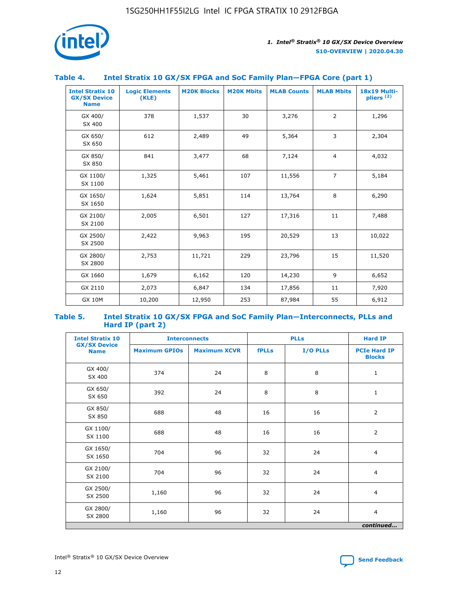

## **Table 4. Intel Stratix 10 GX/SX FPGA and SoC Family Plan—FPGA Core (part 1)**

| <b>Intel Stratix 10</b><br><b>GX/SX Device</b><br><b>Name</b> | <b>Logic Elements</b><br>(KLE) | <b>M20K Blocks</b> | <b>M20K Mbits</b> | <b>MLAB Counts</b> | <b>MLAB Mbits</b> | 18x19 Multi-<br>pliers <sup>(2)</sup> |
|---------------------------------------------------------------|--------------------------------|--------------------|-------------------|--------------------|-------------------|---------------------------------------|
| GX 400/<br>SX 400                                             | 378                            | 1,537              | 30                | 3,276              | $\overline{2}$    | 1,296                                 |
| GX 650/<br>SX 650                                             | 612                            | 2,489              | 49                | 5,364              | 3                 | 2,304                                 |
| GX 850/<br>SX 850                                             | 841                            | 3,477              | 68                | 7,124              | $\overline{4}$    | 4,032                                 |
| GX 1100/<br>SX 1100                                           | 1,325                          | 5,461              | 107               | 11,556             | $\overline{7}$    | 5,184                                 |
| GX 1650/<br>SX 1650                                           | 1,624                          | 5,851              | 114               | 13,764             | 8                 | 6,290                                 |
| GX 2100/<br>SX 2100                                           | 2,005                          | 6,501              | 127               | 17,316             | 11                | 7,488                                 |
| GX 2500/<br>SX 2500                                           | 2,422                          | 9,963              | 195               | 20,529             | 13                | 10,022                                |
| GX 2800/<br>SX 2800                                           | 2,753                          | 11,721             | 229               | 23,796             | 15                | 11,520                                |
| GX 1660                                                       | 1,679                          | 6,162              | 120               | 14,230             | 9                 | 6,652                                 |
| GX 2110                                                       | 2,073                          | 6,847              | 134               | 17,856             | 11                | 7,920                                 |
| <b>GX 10M</b>                                                 | 10,200                         | 12,950             | 253               | 87,984             | 55                | 6,912                                 |

#### **Table 5. Intel Stratix 10 GX/SX FPGA and SoC Family Plan—Interconnects, PLLs and Hard IP (part 2)**

| <b>Intel Stratix 10</b>            |                      | <b>PLLs</b><br><b>Interconnects</b> |              |          | <b>Hard IP</b>                       |  |
|------------------------------------|----------------------|-------------------------------------|--------------|----------|--------------------------------------|--|
| <b>GX/SX Device</b><br><b>Name</b> | <b>Maximum GPIOs</b> | <b>Maximum XCVR</b>                 | <b>fPLLs</b> | I/O PLLs | <b>PCIe Hard IP</b><br><b>Blocks</b> |  |
| GX 400/<br>SX 400                  | 374                  | 24                                  | 8            | 8        | $\mathbf{1}$                         |  |
| GX 650/<br>SX 650                  | 392                  | 24                                  | 8            | 8        | $\mathbf{1}$                         |  |
| GX 850/<br>SX 850                  | 688                  | 48                                  | 16           | 16       | 2                                    |  |
| GX 1100/<br>SX 1100                | 688                  | 48                                  | 16           | 16       | 2                                    |  |
| GX 1650/<br>SX 1650                | 704                  | 96                                  | 32           | 24       | $\overline{4}$                       |  |
| GX 2100/<br>SX 2100                | 704                  | 96                                  | 32           | 24       | 4                                    |  |
| GX 2500/<br>SX 2500                | 1,160                | 96                                  | 32           | 24       | $\overline{4}$                       |  |
| GX 2800/<br>SX 2800                | 1,160                | 96                                  | 32           | 24       | $\overline{4}$                       |  |
| continued                          |                      |                                     |              |          |                                      |  |

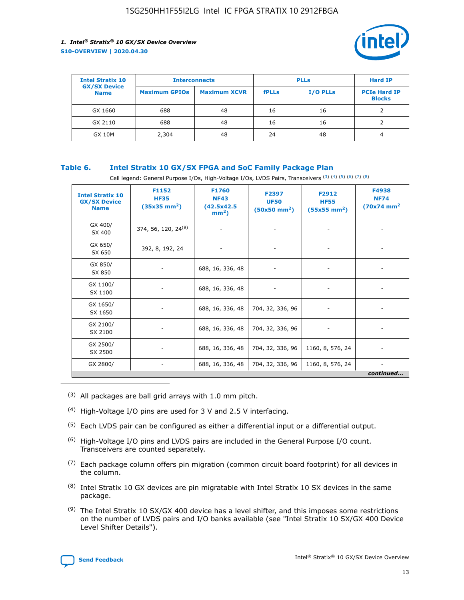

| <b>Intel Stratix 10</b>            | <b>Interconnects</b> |                     | <b>PLLs</b>  |                 | <b>Hard IP</b>                       |
|------------------------------------|----------------------|---------------------|--------------|-----------------|--------------------------------------|
| <b>GX/SX Device</b><br><b>Name</b> | <b>Maximum GPIOs</b> | <b>Maximum XCVR</b> | <b>fPLLs</b> | <b>I/O PLLs</b> | <b>PCIe Hard IP</b><br><b>Blocks</b> |
| GX 1660                            | 688                  | 48                  | 16           | 16              |                                      |
| GX 2110                            | 688                  | 48                  | 16           | 16              |                                      |
| <b>GX 10M</b>                      | 2,304                | 48                  | 24           | 48              | 4                                    |

## **Table 6. Intel Stratix 10 GX/SX FPGA and SoC Family Package Plan**

Cell legend: General Purpose I/Os, High-Voltage I/Os, LVDS Pairs, Transceivers (3) (4) (5) (6) (7) (8)

| <b>Intel Stratix 10</b><br><b>GX/SX Device</b><br><b>Name</b> | F1152<br><b>HF35</b><br>$(35x35)$ mm <sup>2</sup> ) | <b>F1760</b><br><b>NF43</b><br>(42.5x42.5<br>$mm2$ ) | F2397<br><b>UF50</b><br>$(50x50 \text{ mm}^2)$ | F2912<br><b>HF55</b><br>$(55x55 \text{ mm}^2)$ | F4938<br><b>NF74</b><br>$(70x74)$ mm <sup>2</sup> |
|---------------------------------------------------------------|-----------------------------------------------------|------------------------------------------------------|------------------------------------------------|------------------------------------------------|---------------------------------------------------|
| GX 400/<br>SX 400                                             | 374, 56, 120, 24 <sup>(9)</sup>                     | $\overline{\phantom{a}}$                             | $\overline{\phantom{a}}$                       |                                                |                                                   |
| GX 650/<br>SX 650                                             | 392, 8, 192, 24                                     | ٠                                                    | $\qquad \qquad \blacksquare$                   |                                                |                                                   |
| GX 850/<br>SX 850                                             | $\overline{\phantom{a}}$                            | 688, 16, 336, 48                                     | $\overline{\phantom{a}}$                       |                                                |                                                   |
| GX 1100/<br>SX 1100                                           | ۰                                                   | 688, 16, 336, 48                                     |                                                |                                                |                                                   |
| GX 1650/<br>SX 1650                                           |                                                     | 688, 16, 336, 48                                     | 704, 32, 336, 96                               | $\overline{\phantom{a}}$                       | $\overline{\phantom{0}}$                          |
| GX 2100/<br>SX 2100                                           |                                                     | 688, 16, 336, 48                                     | 704, 32, 336, 96                               | $\overline{\phantom{a}}$                       | ٠                                                 |
| GX 2500/<br>SX 2500                                           |                                                     | 688, 16, 336, 48                                     | 704, 32, 336, 96                               | 1160, 8, 576, 24                               |                                                   |
| GX 2800/                                                      | -                                                   | 688, 16, 336, 48                                     | 704, 32, 336, 96                               | 1160, 8, 576, 24                               | continued                                         |

- (3) All packages are ball grid arrays with 1.0 mm pitch.
- (4) High-Voltage I/O pins are used for 3 V and 2.5 V interfacing.
- $(5)$  Each LVDS pair can be configured as either a differential input or a differential output.
- (6) High-Voltage I/O pins and LVDS pairs are included in the General Purpose I/O count. Transceivers are counted separately.
- $(7)$  Each package column offers pin migration (common circuit board footprint) for all devices in the column.
- $(8)$  Intel Stratix 10 GX devices are pin migratable with Intel Stratix 10 SX devices in the same package.
- $(9)$  The Intel Stratix 10 SX/GX 400 device has a level shifter, and this imposes some restrictions on the number of LVDS pairs and I/O banks available (see "Intel Stratix 10 SX/GX 400 Device Level Shifter Details").

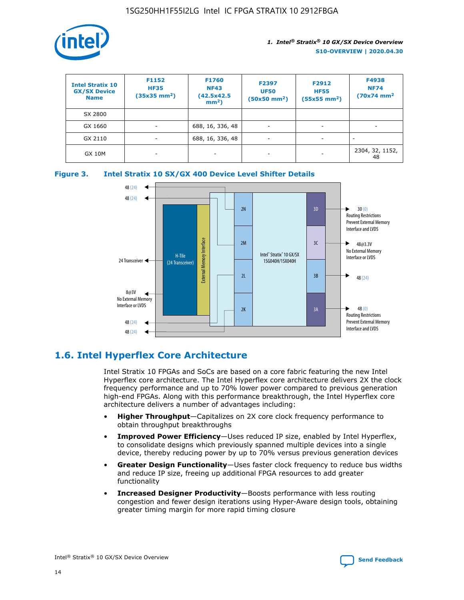

| <b>Intel Stratix 10</b><br><b>GX/SX Device</b><br><b>Name</b> | F1152<br><b>HF35</b><br>$(35x35)$ mm <sup>2</sup> ) | F1760<br><b>NF43</b><br>(42.5x42.5<br>$mm2$ ) | F2397<br><b>UF50</b><br>$(50x50 \text{ mm}^2)$ | F2912<br><b>HF55</b><br>$(55x55$ mm <sup>2</sup> ) | F4938<br><b>NF74</b><br>$(70x74)$ mm <sup>2</sup> |
|---------------------------------------------------------------|-----------------------------------------------------|-----------------------------------------------|------------------------------------------------|----------------------------------------------------|---------------------------------------------------|
| SX 2800                                                       |                                                     |                                               |                                                |                                                    |                                                   |
| GX 1660                                                       | -                                                   | 688, 16, 336, 48                              | $\overline{\phantom{a}}$                       |                                                    |                                                   |
| GX 2110                                                       |                                                     | 688, 16, 336, 48                              | $\overline{\phantom{a}}$                       |                                                    |                                                   |
| <b>GX 10M</b>                                                 | ۰                                                   |                                               |                                                |                                                    | 2304, 32, 1152,<br>48                             |





## **1.6. Intel Hyperflex Core Architecture**

Intel Stratix 10 FPGAs and SoCs are based on a core fabric featuring the new Intel Hyperflex core architecture. The Intel Hyperflex core architecture delivers 2X the clock frequency performance and up to 70% lower power compared to previous generation high-end FPGAs. Along with this performance breakthrough, the Intel Hyperflex core architecture delivers a number of advantages including:

- **Higher Throughput**—Capitalizes on 2X core clock frequency performance to obtain throughput breakthroughs
- **Improved Power Efficiency**—Uses reduced IP size, enabled by Intel Hyperflex, to consolidate designs which previously spanned multiple devices into a single device, thereby reducing power by up to 70% versus previous generation devices
- **Greater Design Functionality**—Uses faster clock frequency to reduce bus widths and reduce IP size, freeing up additional FPGA resources to add greater functionality
- **Increased Designer Productivity**—Boosts performance with less routing congestion and fewer design iterations using Hyper-Aware design tools, obtaining greater timing margin for more rapid timing closure

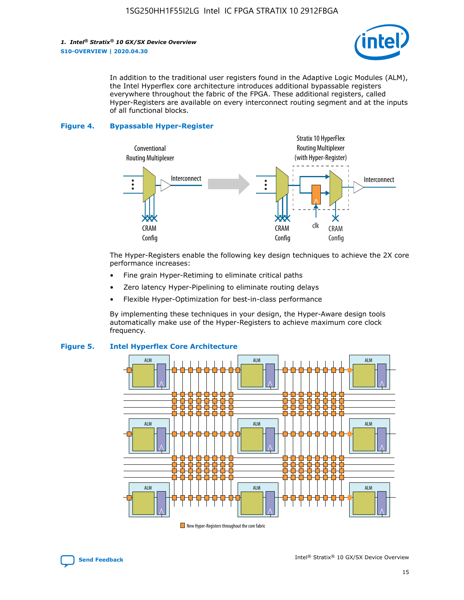

In addition to the traditional user registers found in the Adaptive Logic Modules (ALM), the Intel Hyperflex core architecture introduces additional bypassable registers everywhere throughout the fabric of the FPGA. These additional registers, called Hyper-Registers are available on every interconnect routing segment and at the inputs of all functional blocks.

#### **Figure 4. Bypassable Hyper-Register**



The Hyper-Registers enable the following key design techniques to achieve the 2X core performance increases:

- Fine grain Hyper-Retiming to eliminate critical paths
- Zero latency Hyper-Pipelining to eliminate routing delays
- Flexible Hyper-Optimization for best-in-class performance

By implementing these techniques in your design, the Hyper-Aware design tools automatically make use of the Hyper-Registers to achieve maximum core clock frequency.



## **Figure 5. Intel Hyperflex Core Architecture**

New Hyper-Registers throughout the core fabric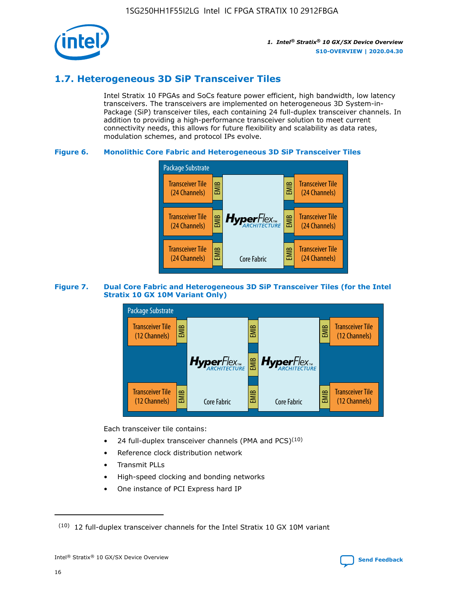

## **1.7. Heterogeneous 3D SiP Transceiver Tiles**

Intel Stratix 10 FPGAs and SoCs feature power efficient, high bandwidth, low latency transceivers. The transceivers are implemented on heterogeneous 3D System-in-Package (SiP) transceiver tiles, each containing 24 full-duplex transceiver channels. In addition to providing a high-performance transceiver solution to meet current connectivity needs, this allows for future flexibility and scalability as data rates, modulation schemes, and protocol IPs evolve.

## **Figure 6. Monolithic Core Fabric and Heterogeneous 3D SiP Transceiver Tiles**



## **Figure 7. Dual Core Fabric and Heterogeneous 3D SiP Transceiver Tiles (for the Intel Stratix 10 GX 10M Variant Only)**



Each transceiver tile contains:

- 24 full-duplex transceiver channels (PMA and PCS) $(10)$
- Reference clock distribution network
- Transmit PLLs
- High-speed clocking and bonding networks
- One instance of PCI Express hard IP

 $(10)$  12 full-duplex transceiver channels for the Intel Stratix 10 GX 10M variant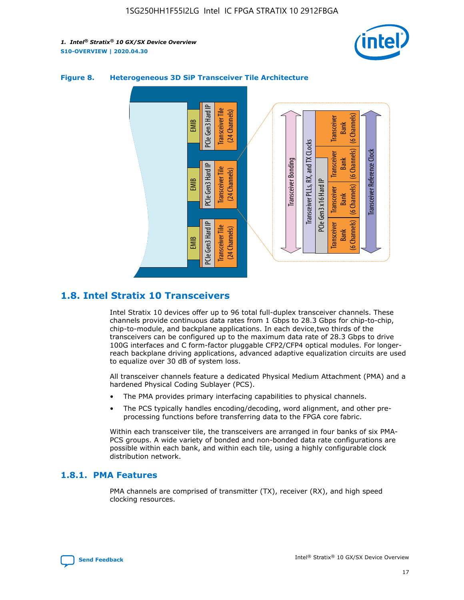



## **Figure 8. Heterogeneous 3D SiP Transceiver Tile Architecture**

## **1.8. Intel Stratix 10 Transceivers**

Intel Stratix 10 devices offer up to 96 total full-duplex transceiver channels. These channels provide continuous data rates from 1 Gbps to 28.3 Gbps for chip-to-chip, chip-to-module, and backplane applications. In each device,two thirds of the transceivers can be configured up to the maximum data rate of 28.3 Gbps to drive 100G interfaces and C form-factor pluggable CFP2/CFP4 optical modules. For longerreach backplane driving applications, advanced adaptive equalization circuits are used to equalize over 30 dB of system loss.

All transceiver channels feature a dedicated Physical Medium Attachment (PMA) and a hardened Physical Coding Sublayer (PCS).

- The PMA provides primary interfacing capabilities to physical channels.
- The PCS typically handles encoding/decoding, word alignment, and other preprocessing functions before transferring data to the FPGA core fabric.

Within each transceiver tile, the transceivers are arranged in four banks of six PMA-PCS groups. A wide variety of bonded and non-bonded data rate configurations are possible within each bank, and within each tile, using a highly configurable clock distribution network.

## **1.8.1. PMA Features**

PMA channels are comprised of transmitter (TX), receiver (RX), and high speed clocking resources.

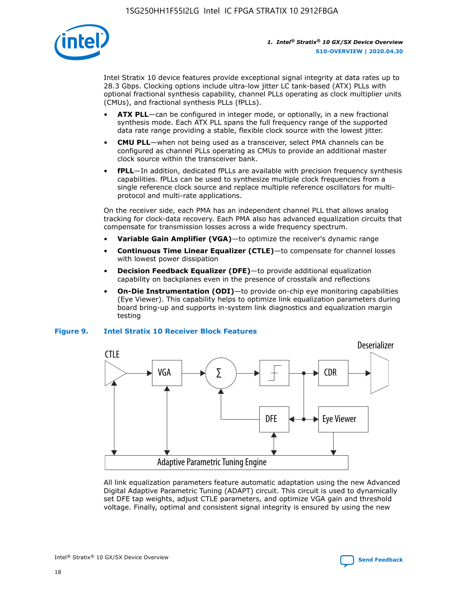

Intel Stratix 10 device features provide exceptional signal integrity at data rates up to 28.3 Gbps. Clocking options include ultra-low jitter LC tank-based (ATX) PLLs with optional fractional synthesis capability, channel PLLs operating as clock multiplier units (CMUs), and fractional synthesis PLLs (fPLLs).

- **ATX PLL**—can be configured in integer mode, or optionally, in a new fractional synthesis mode. Each ATX PLL spans the full frequency range of the supported data rate range providing a stable, flexible clock source with the lowest jitter.
- **CMU PLL**—when not being used as a transceiver, select PMA channels can be configured as channel PLLs operating as CMUs to provide an additional master clock source within the transceiver bank.
- **fPLL**—In addition, dedicated fPLLs are available with precision frequency synthesis capabilities. fPLLs can be used to synthesize multiple clock frequencies from a single reference clock source and replace multiple reference oscillators for multiprotocol and multi-rate applications.

On the receiver side, each PMA has an independent channel PLL that allows analog tracking for clock-data recovery. Each PMA also has advanced equalization circuits that compensate for transmission losses across a wide frequency spectrum.

- **Variable Gain Amplifier (VGA)**—to optimize the receiver's dynamic range
- **Continuous Time Linear Equalizer (CTLE)**—to compensate for channel losses with lowest power dissipation
- **Decision Feedback Equalizer (DFE)**—to provide additional equalization capability on backplanes even in the presence of crosstalk and reflections
- **On-Die Instrumentation (ODI)**—to provide on-chip eye monitoring capabilities (Eye Viewer). This capability helps to optimize link equalization parameters during board bring-up and supports in-system link diagnostics and equalization margin testing

#### **Figure 9. Intel Stratix 10 Receiver Block Features**



All link equalization parameters feature automatic adaptation using the new Advanced Digital Adaptive Parametric Tuning (ADAPT) circuit. This circuit is used to dynamically set DFE tap weights, adjust CTLE parameters, and optimize VGA gain and threshold voltage. Finally, optimal and consistent signal integrity is ensured by using the new



Intel<sup>®</sup> Stratix<sup>®</sup> 10 GX/SX Device Overview **[Send Feedback](mailto:FPGAtechdocfeedback@intel.com?subject=Feedback%20on%20Intel%20Stratix%2010%20GX/SX%20Device%20Overview%20(S10-OVERVIEW%202020.04.30)&body=We%20appreciate%20your%20feedback.%20In%20your%20comments,%20also%20specify%20the%20page%20number%20or%20paragraph.%20Thank%20you.)** Send Feedback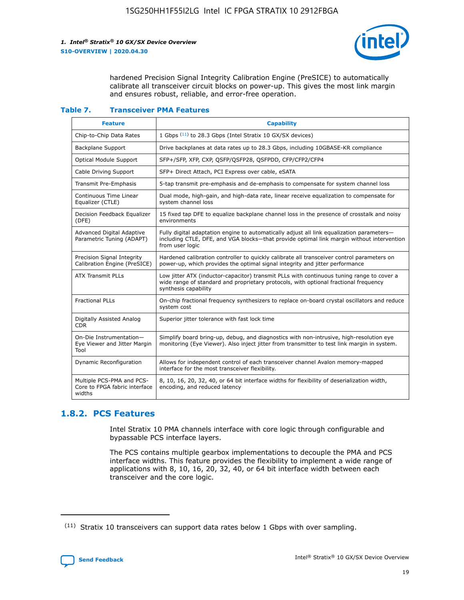

hardened Precision Signal Integrity Calibration Engine (PreSICE) to automatically calibrate all transceiver circuit blocks on power-up. This gives the most link margin and ensures robust, reliable, and error-free operation.

#### **Table 7. Transceiver PMA Features**

| <b>Feature</b>                                                       | <b>Capability</b>                                                                                                                                                                                         |
|----------------------------------------------------------------------|-----------------------------------------------------------------------------------------------------------------------------------------------------------------------------------------------------------|
| Chip-to-Chip Data Rates                                              | 1 Gbps (11) to 28.3 Gbps (Intel Stratix 10 GX/SX devices)                                                                                                                                                 |
| <b>Backplane Support</b>                                             | Drive backplanes at data rates up to 28.3 Gbps, including 10GBASE-KR compliance                                                                                                                           |
| Optical Module Support                                               | SFP+/SFP, XFP, CXP, QSFP/QSFP28, QSFPDD, CFP/CFP2/CFP4                                                                                                                                                    |
| Cable Driving Support                                                | SFP+ Direct Attach, PCI Express over cable, eSATA                                                                                                                                                         |
| <b>Transmit Pre-Emphasis</b>                                         | 5-tap transmit pre-emphasis and de-emphasis to compensate for system channel loss                                                                                                                         |
| Continuous Time Linear<br>Equalizer (CTLE)                           | Dual mode, high-gain, and high-data rate, linear receive equalization to compensate for<br>system channel loss                                                                                            |
| Decision Feedback Equalizer<br>(DFE)                                 | 15 fixed tap DFE to equalize backplane channel loss in the presence of crosstalk and noisy<br>environments                                                                                                |
| Advanced Digital Adaptive<br>Parametric Tuning (ADAPT)               | Fully digital adaptation engine to automatically adjust all link equalization parameters-<br>including CTLE, DFE, and VGA blocks-that provide optimal link margin without intervention<br>from user logic |
| Precision Signal Integrity<br>Calibration Engine (PreSICE)           | Hardened calibration controller to quickly calibrate all transceiver control parameters on<br>power-up, which provides the optimal signal integrity and jitter performance                                |
| <b>ATX Transmit PLLs</b>                                             | Low jitter ATX (inductor-capacitor) transmit PLLs with continuous tuning range to cover a<br>wide range of standard and proprietary protocols, with optional fractional frequency<br>synthesis capability |
| <b>Fractional PLLs</b>                                               | On-chip fractional frequency synthesizers to replace on-board crystal oscillators and reduce<br>system cost                                                                                               |
| Digitally Assisted Analog<br>CDR.                                    | Superior jitter tolerance with fast lock time                                                                                                                                                             |
| On-Die Instrumentation-<br>Eye Viewer and Jitter Margin<br>Tool      | Simplify board bring-up, debug, and diagnostics with non-intrusive, high-resolution eye<br>monitoring (Eye Viewer). Also inject jitter from transmitter to test link margin in system.                    |
| Dynamic Reconfiguration                                              | Allows for independent control of each transceiver channel Avalon memory-mapped<br>interface for the most transceiver flexibility.                                                                        |
| Multiple PCS-PMA and PCS-<br>Core to FPGA fabric interface<br>widths | 8, 10, 16, 20, 32, 40, or 64 bit interface widths for flexibility of deserialization width,<br>encoding, and reduced latency                                                                              |

## **1.8.2. PCS Features**

Intel Stratix 10 PMA channels interface with core logic through configurable and bypassable PCS interface layers.

The PCS contains multiple gearbox implementations to decouple the PMA and PCS interface widths. This feature provides the flexibility to implement a wide range of applications with 8, 10, 16, 20, 32, 40, or 64 bit interface width between each transceiver and the core logic.

<sup>(11)</sup> Stratix 10 transceivers can support data rates below 1 Gbps with over sampling.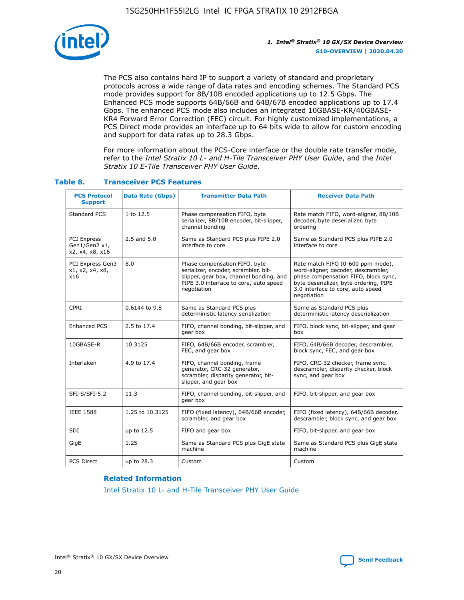

The PCS also contains hard IP to support a variety of standard and proprietary protocols across a wide range of data rates and encoding schemes. The Standard PCS mode provides support for 8B/10B encoded applications up to 12.5 Gbps. The Enhanced PCS mode supports 64B/66B and 64B/67B encoded applications up to 17.4 Gbps. The enhanced PCS mode also includes an integrated 10GBASE-KR/40GBASE-KR4 Forward Error Correction (FEC) circuit. For highly customized implementations, a PCS Direct mode provides an interface up to 64 bits wide to allow for custom encoding and support for data rates up to 28.3 Gbps.

For more information about the PCS-Core interface or the double rate transfer mode, refer to the *Intel Stratix 10 L- and H-Tile Transceiver PHY User Guide*, and the *Intel Stratix 10 E-Tile Transceiver PHY User Guide*.

| <b>PCS Protocol</b><br><b>Support</b>           | <b>Data Rate (Gbps)</b> | <b>Transmitter Data Path</b>                                                                                                                                              | <b>Receiver Data Path</b>                                                                                                                                                                                      |
|-------------------------------------------------|-------------------------|---------------------------------------------------------------------------------------------------------------------------------------------------------------------------|----------------------------------------------------------------------------------------------------------------------------------------------------------------------------------------------------------------|
| Standard PCS                                    | 1 to 12.5               | Phase compensation FIFO, byte<br>serializer, 8B/10B encoder, bit-slipper,<br>channel bonding                                                                              | Rate match FIFO, word-aligner, 8B/10B<br>decoder, byte deserializer, byte<br>ordering                                                                                                                          |
| PCI Express<br>Gen1/Gen2 x1,<br>x2, x4, x8, x16 | $2.5$ and $5.0$         | Same as Standard PCS plus PIPE 2.0<br>interface to core                                                                                                                   | Same as Standard PCS plus PIPE 2.0<br>interface to core                                                                                                                                                        |
| PCI Express Gen3<br>x1, x2, x4, x8,<br>x16      | 8.0                     | Phase compensation FIFO, byte<br>serializer, encoder, scrambler, bit-<br>slipper, gear box, channel bonding, and<br>PIPE 3.0 interface to core, auto speed<br>negotiation | Rate match FIFO (0-600 ppm mode),<br>word-aligner, decoder, descrambler,<br>phase compensation FIFO, block sync,<br>byte deserializer, byte ordering, PIPE<br>3.0 interface to core, auto speed<br>negotiation |
| CPRI                                            | 0.6144 to 9.8           | Same as Standard PCS plus<br>deterministic latency serialization                                                                                                          | Same as Standard PCS plus<br>deterministic latency deserialization                                                                                                                                             |
| <b>Enhanced PCS</b>                             | 2.5 to 17.4             | FIFO, channel bonding, bit-slipper, and<br>gear box                                                                                                                       | FIFO, block sync, bit-slipper, and gear<br>box                                                                                                                                                                 |
| 10GBASE-R                                       | 10.3125                 | FIFO, 64B/66B encoder, scrambler,<br>FEC, and gear box                                                                                                                    | FIFO, 64B/66B decoder, descrambler,<br>block sync, FEC, and gear box                                                                                                                                           |
| Interlaken                                      | 4.9 to 17.4             | FIFO, channel bonding, frame<br>generator, CRC-32 generator,<br>scrambler, disparity generator, bit-<br>slipper, and gear box                                             | FIFO, CRC-32 checker, frame sync,<br>descrambler, disparity checker, block<br>sync, and gear box                                                                                                               |
| SFI-S/SFI-5.2                                   | 11.3                    | FIFO, channel bonding, bit-slipper, and<br>gear box                                                                                                                       | FIFO, bit-slipper, and gear box                                                                                                                                                                                |
| <b>IEEE 1588</b>                                | 1.25 to 10.3125         | FIFO (fixed latency), 64B/66B encoder,<br>scrambler, and gear box                                                                                                         | FIFO (fixed latency), 64B/66B decoder,<br>descrambler, block sync, and gear box                                                                                                                                |
| SDI                                             | up to 12.5              | FIFO and gear box                                                                                                                                                         | FIFO, bit-slipper, and gear box                                                                                                                                                                                |
| GigE                                            | 1.25                    | Same as Standard PCS plus GigE state<br>machine                                                                                                                           | Same as Standard PCS plus GigE state<br>machine                                                                                                                                                                |
| <b>PCS Direct</b>                               | up to 28.3              | Custom                                                                                                                                                                    | Custom                                                                                                                                                                                                         |

## **Table 8. Transceiver PCS Features**

#### **Related Information**

[Intel Stratix 10 L- and H-Tile Transceiver PHY User Guide](https://www.altera.com/documentation/wry1479165198810.html)

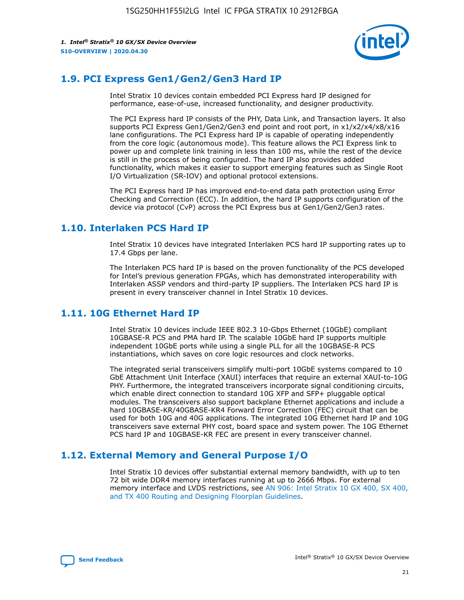

## **1.9. PCI Express Gen1/Gen2/Gen3 Hard IP**

Intel Stratix 10 devices contain embedded PCI Express hard IP designed for performance, ease-of-use, increased functionality, and designer productivity.

The PCI Express hard IP consists of the PHY, Data Link, and Transaction layers. It also supports PCI Express Gen1/Gen2/Gen3 end point and root port, in x1/x2/x4/x8/x16 lane configurations. The PCI Express hard IP is capable of operating independently from the core logic (autonomous mode). This feature allows the PCI Express link to power up and complete link training in less than 100 ms, while the rest of the device is still in the process of being configured. The hard IP also provides added functionality, which makes it easier to support emerging features such as Single Root I/O Virtualization (SR-IOV) and optional protocol extensions.

The PCI Express hard IP has improved end-to-end data path protection using Error Checking and Correction (ECC). In addition, the hard IP supports configuration of the device via protocol (CvP) across the PCI Express bus at Gen1/Gen2/Gen3 rates.

## **1.10. Interlaken PCS Hard IP**

Intel Stratix 10 devices have integrated Interlaken PCS hard IP supporting rates up to 17.4 Gbps per lane.

The Interlaken PCS hard IP is based on the proven functionality of the PCS developed for Intel's previous generation FPGAs, which has demonstrated interoperability with Interlaken ASSP vendors and third-party IP suppliers. The Interlaken PCS hard IP is present in every transceiver channel in Intel Stratix 10 devices.

## **1.11. 10G Ethernet Hard IP**

Intel Stratix 10 devices include IEEE 802.3 10-Gbps Ethernet (10GbE) compliant 10GBASE-R PCS and PMA hard IP. The scalable 10GbE hard IP supports multiple independent 10GbE ports while using a single PLL for all the 10GBASE-R PCS instantiations, which saves on core logic resources and clock networks.

The integrated serial transceivers simplify multi-port 10GbE systems compared to 10 GbE Attachment Unit Interface (XAUI) interfaces that require an external XAUI-to-10G PHY. Furthermore, the integrated transceivers incorporate signal conditioning circuits, which enable direct connection to standard 10G XFP and SFP+ pluggable optical modules. The transceivers also support backplane Ethernet applications and include a hard 10GBASE-KR/40GBASE-KR4 Forward Error Correction (FEC) circuit that can be used for both 10G and 40G applications. The integrated 10G Ethernet hard IP and 10G transceivers save external PHY cost, board space and system power. The 10G Ethernet PCS hard IP and 10GBASE-KR FEC are present in every transceiver channel.

## **1.12. External Memory and General Purpose I/O**

Intel Stratix 10 devices offer substantial external memory bandwidth, with up to ten 72 bit wide DDR4 memory interfaces running at up to 2666 Mbps. For external memory interface and LVDS restrictions, see [AN 906: Intel Stratix 10 GX 400, SX 400,](https://www.intel.com/content/www/us/en/programmable/documentation/sjf1574667190623.html#bft1574667627484) [and TX 400 Routing and Designing Floorplan Guidelines.](https://www.intel.com/content/www/us/en/programmable/documentation/sjf1574667190623.html#bft1574667627484)

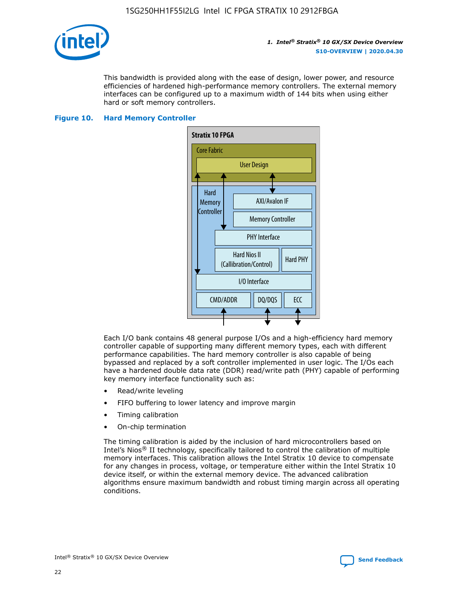

This bandwidth is provided along with the ease of design, lower power, and resource efficiencies of hardened high-performance memory controllers. The external memory interfaces can be configured up to a maximum width of 144 bits when using either hard or soft memory controllers.

#### **Figure 10. Hard Memory Controller**



Each I/O bank contains 48 general purpose I/Os and a high-efficiency hard memory controller capable of supporting many different memory types, each with different performance capabilities. The hard memory controller is also capable of being bypassed and replaced by a soft controller implemented in user logic. The I/Os each have a hardened double data rate (DDR) read/write path (PHY) capable of performing key memory interface functionality such as:

- Read/write leveling
- FIFO buffering to lower latency and improve margin
- Timing calibration
- On-chip termination

The timing calibration is aided by the inclusion of hard microcontrollers based on Intel's Nios® II technology, specifically tailored to control the calibration of multiple memory interfaces. This calibration allows the Intel Stratix 10 device to compensate for any changes in process, voltage, or temperature either within the Intel Stratix 10 device itself, or within the external memory device. The advanced calibration algorithms ensure maximum bandwidth and robust timing margin across all operating conditions.

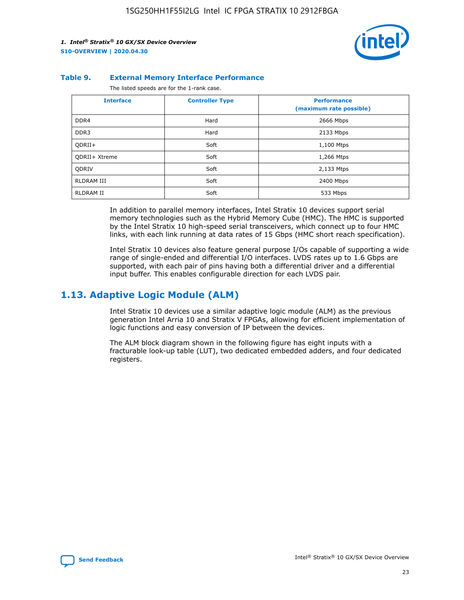

#### **Table 9. External Memory Interface Performance**

The listed speeds are for the 1-rank case.

| <b>Interface</b> | <b>Controller Type</b> | <b>Performance</b><br>(maximum rate possible) |
|------------------|------------------------|-----------------------------------------------|
| DDR4             | Hard                   | 2666 Mbps                                     |
| DDR <sub>3</sub> | Hard                   | 2133 Mbps                                     |
| QDRII+           | Soft                   | 1,100 Mtps                                    |
| QDRII+ Xtreme    | Soft                   | 1,266 Mtps                                    |
| <b>ODRIV</b>     | Soft                   | 2,133 Mtps                                    |
| RLDRAM III       | Soft                   | 2400 Mbps                                     |
| <b>RLDRAM II</b> | Soft                   | 533 Mbps                                      |

In addition to parallel memory interfaces, Intel Stratix 10 devices support serial memory technologies such as the Hybrid Memory Cube (HMC). The HMC is supported by the Intel Stratix 10 high-speed serial transceivers, which connect up to four HMC links, with each link running at data rates of 15 Gbps (HMC short reach specification).

Intel Stratix 10 devices also feature general purpose I/Os capable of supporting a wide range of single-ended and differential I/O interfaces. LVDS rates up to 1.6 Gbps are supported, with each pair of pins having both a differential driver and a differential input buffer. This enables configurable direction for each LVDS pair.

## **1.13. Adaptive Logic Module (ALM)**

Intel Stratix 10 devices use a similar adaptive logic module (ALM) as the previous generation Intel Arria 10 and Stratix V FPGAs, allowing for efficient implementation of logic functions and easy conversion of IP between the devices.

The ALM block diagram shown in the following figure has eight inputs with a fracturable look-up table (LUT), two dedicated embedded adders, and four dedicated registers.

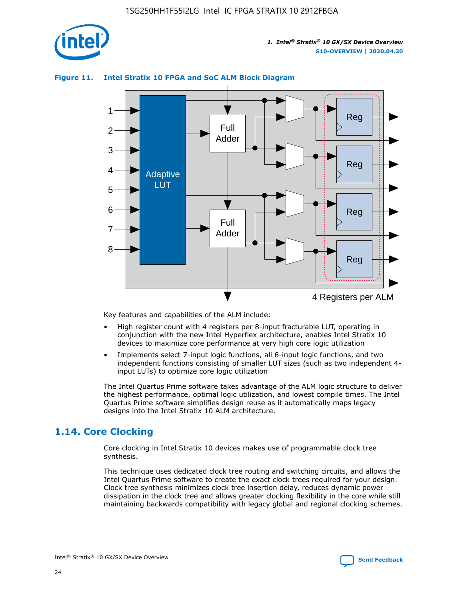

## **Figure 11. Intel Stratix 10 FPGA and SoC ALM Block Diagram**



Key features and capabilities of the ALM include:

- High register count with 4 registers per 8-input fracturable LUT, operating in conjunction with the new Intel Hyperflex architecture, enables Intel Stratix 10 devices to maximize core performance at very high core logic utilization
- Implements select 7-input logic functions, all 6-input logic functions, and two independent functions consisting of smaller LUT sizes (such as two independent 4 input LUTs) to optimize core logic utilization

The Intel Quartus Prime software takes advantage of the ALM logic structure to deliver the highest performance, optimal logic utilization, and lowest compile times. The Intel Quartus Prime software simplifies design reuse as it automatically maps legacy designs into the Intel Stratix 10 ALM architecture.

## **1.14. Core Clocking**

Core clocking in Intel Stratix 10 devices makes use of programmable clock tree synthesis.

This technique uses dedicated clock tree routing and switching circuits, and allows the Intel Quartus Prime software to create the exact clock trees required for your design. Clock tree synthesis minimizes clock tree insertion delay, reduces dynamic power dissipation in the clock tree and allows greater clocking flexibility in the core while still maintaining backwards compatibility with legacy global and regional clocking schemes.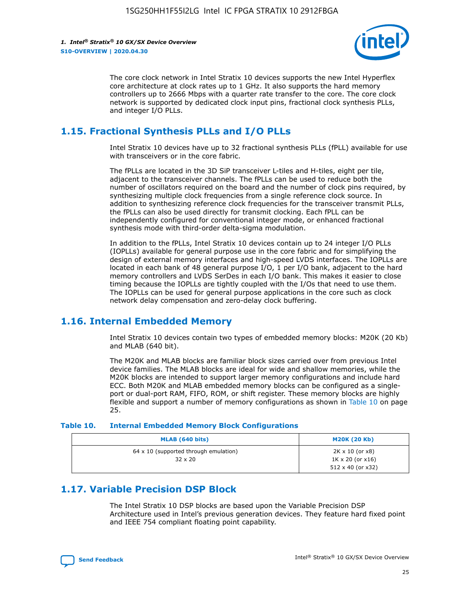

The core clock network in Intel Stratix 10 devices supports the new Intel Hyperflex core architecture at clock rates up to 1 GHz. It also supports the hard memory controllers up to 2666 Mbps with a quarter rate transfer to the core. The core clock network is supported by dedicated clock input pins, fractional clock synthesis PLLs, and integer I/O PLLs.

## **1.15. Fractional Synthesis PLLs and I/O PLLs**

Intel Stratix 10 devices have up to 32 fractional synthesis PLLs (fPLL) available for use with transceivers or in the core fabric.

The fPLLs are located in the 3D SiP transceiver L-tiles and H-tiles, eight per tile, adjacent to the transceiver channels. The fPLLs can be used to reduce both the number of oscillators required on the board and the number of clock pins required, by synthesizing multiple clock frequencies from a single reference clock source. In addition to synthesizing reference clock frequencies for the transceiver transmit PLLs, the fPLLs can also be used directly for transmit clocking. Each fPLL can be independently configured for conventional integer mode, or enhanced fractional synthesis mode with third-order delta-sigma modulation.

In addition to the fPLLs, Intel Stratix 10 devices contain up to 24 integer I/O PLLs (IOPLLs) available for general purpose use in the core fabric and for simplifying the design of external memory interfaces and high-speed LVDS interfaces. The IOPLLs are located in each bank of 48 general purpose I/O, 1 per I/O bank, adjacent to the hard memory controllers and LVDS SerDes in each I/O bank. This makes it easier to close timing because the IOPLLs are tightly coupled with the I/Os that need to use them. The IOPLLs can be used for general purpose applications in the core such as clock network delay compensation and zero-delay clock buffering.

## **1.16. Internal Embedded Memory**

Intel Stratix 10 devices contain two types of embedded memory blocks: M20K (20 Kb) and MLAB (640 bit).

The M20K and MLAB blocks are familiar block sizes carried over from previous Intel device families. The MLAB blocks are ideal for wide and shallow memories, while the M20K blocks are intended to support larger memory configurations and include hard ECC. Both M20K and MLAB embedded memory blocks can be configured as a singleport or dual-port RAM, FIFO, ROM, or shift register. These memory blocks are highly flexible and support a number of memory configurations as shown in Table 10 on page 25.

#### **Table 10. Internal Embedded Memory Block Configurations**

| MLAB (640 bits)                                                | <b>M20K (20 Kb)</b>                                                          |
|----------------------------------------------------------------|------------------------------------------------------------------------------|
| $64 \times 10$ (supported through emulation)<br>$32 \times 20$ | 2K x 10 (or x8)<br>$1K \times 20$ (or $x16$ )<br>$512 \times 40$ (or $x32$ ) |

## **1.17. Variable Precision DSP Block**

The Intel Stratix 10 DSP blocks are based upon the Variable Precision DSP Architecture used in Intel's previous generation devices. They feature hard fixed point and IEEE 754 compliant floating point capability.

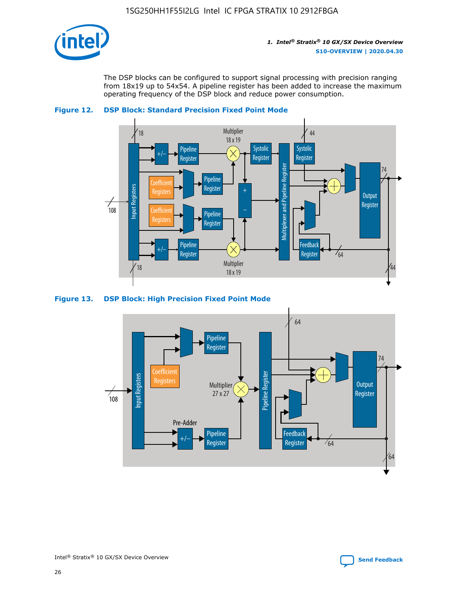

The DSP blocks can be configured to support signal processing with precision ranging from 18x19 up to 54x54. A pipeline register has been added to increase the maximum operating frequency of the DSP block and reduce power consumption.



#### **Figure 12. DSP Block: Standard Precision Fixed Point Mode**



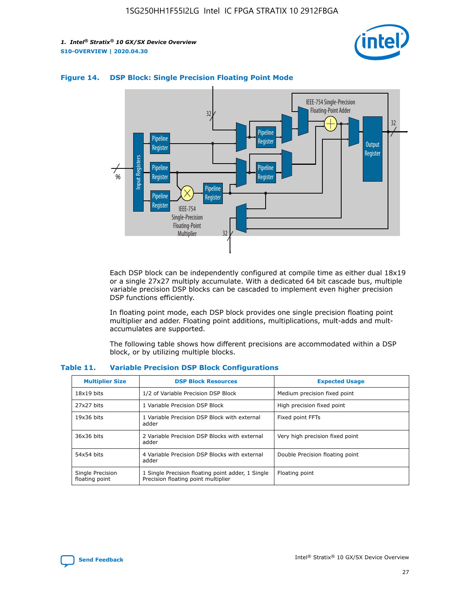



## **Figure 14. DSP Block: Single Precision Floating Point Mode**

Each DSP block can be independently configured at compile time as either dual 18x19 or a single 27x27 multiply accumulate. With a dedicated 64 bit cascade bus, multiple variable precision DSP blocks can be cascaded to implement even higher precision DSP functions efficiently.

In floating point mode, each DSP block provides one single precision floating point multiplier and adder. Floating point additions, multiplications, mult-adds and multaccumulates are supported.

The following table shows how different precisions are accommodated within a DSP block, or by utilizing multiple blocks.

| <b>Multiplier Size</b>             | <b>DSP Block Resources</b>                                                               | <b>Expected Usage</b>           |
|------------------------------------|------------------------------------------------------------------------------------------|---------------------------------|
| $18x19$ bits                       | 1/2 of Variable Precision DSP Block                                                      | Medium precision fixed point    |
| 27x27 bits                         | 1 Variable Precision DSP Block                                                           | High precision fixed point      |
| $19x36$ bits                       | 1 Variable Precision DSP Block with external<br>adder                                    | Fixed point FFTs                |
| 36x36 bits                         | 2 Variable Precision DSP Blocks with external<br>adder                                   | Very high precision fixed point |
| 54x54 bits                         | 4 Variable Precision DSP Blocks with external<br>adder                                   | Double Precision floating point |
| Single Precision<br>floating point | 1 Single Precision floating point adder, 1 Single<br>Precision floating point multiplier | Floating point                  |

#### **Table 11. Variable Precision DSP Block Configurations**

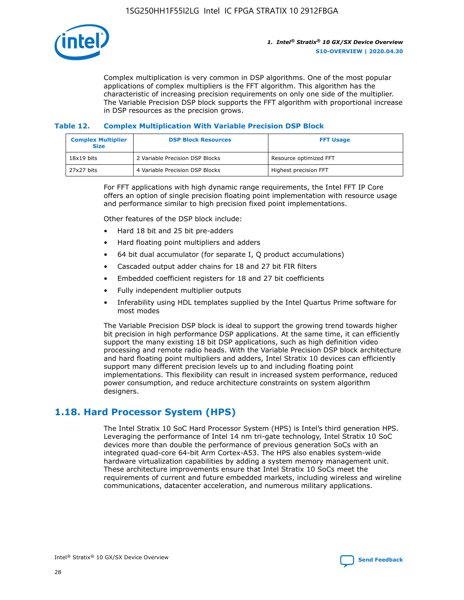

Complex multiplication is very common in DSP algorithms. One of the most popular applications of complex multipliers is the FFT algorithm. This algorithm has the characteristic of increasing precision requirements on only one side of the multiplier. The Variable Precision DSP block supports the FFT algorithm with proportional increase in DSP resources as the precision grows.

## **Table 12. Complex Multiplication With Variable Precision DSP Block**

| <b>Complex Multiplier</b><br><b>Size</b> | <b>DSP Block Resources</b>      | <b>FFT Usage</b>       |
|------------------------------------------|---------------------------------|------------------------|
| $18x19$ bits                             | 2 Variable Precision DSP Blocks | Resource optimized FFT |
| 27x27 bits                               | 4 Variable Precision DSP Blocks | Highest precision FFT  |

For FFT applications with high dynamic range requirements, the Intel FFT IP Core offers an option of single precision floating point implementation with resource usage and performance similar to high precision fixed point implementations.

Other features of the DSP block include:

- Hard 18 bit and 25 bit pre-adders
- Hard floating point multipliers and adders
- 64 bit dual accumulator (for separate I, Q product accumulations)
- Cascaded output adder chains for 18 and 27 bit FIR filters
- Embedded coefficient registers for 18 and 27 bit coefficients
- Fully independent multiplier outputs
- Inferability using HDL templates supplied by the Intel Quartus Prime software for most modes

The Variable Precision DSP block is ideal to support the growing trend towards higher bit precision in high performance DSP applications. At the same time, it can efficiently support the many existing 18 bit DSP applications, such as high definition video processing and remote radio heads. With the Variable Precision DSP block architecture and hard floating point multipliers and adders, Intel Stratix 10 devices can efficiently support many different precision levels up to and including floating point implementations. This flexibility can result in increased system performance, reduced power consumption, and reduce architecture constraints on system algorithm designers.

## **1.18. Hard Processor System (HPS)**

The Intel Stratix 10 SoC Hard Processor System (HPS) is Intel's third generation HPS. Leveraging the performance of Intel 14 nm tri-gate technology, Intel Stratix 10 SoC devices more than double the performance of previous generation SoCs with an integrated quad-core 64-bit Arm Cortex-A53. The HPS also enables system-wide hardware virtualization capabilities by adding a system memory management unit. These architecture improvements ensure that Intel Stratix 10 SoCs meet the requirements of current and future embedded markets, including wireless and wireline communications, datacenter acceleration, and numerous military applications.

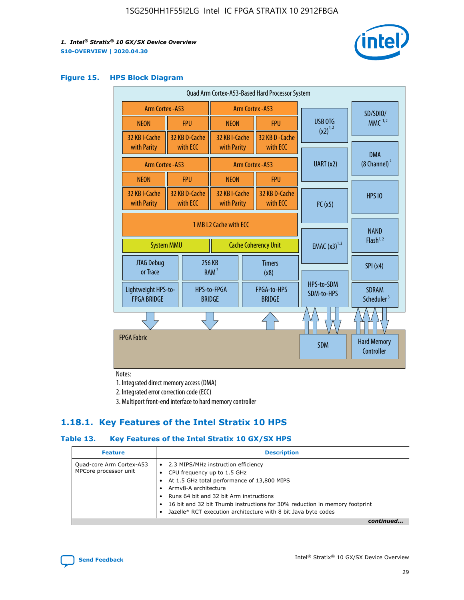

#### **Figure 15. HPS Block Diagram**

| Quad Arm Cortex-A53-Based Hard Processor System |                        |                           |                                                     |                             |                              |  |                          |                                        |
|-------------------------------------------------|------------------------|---------------------------|-----------------------------------------------------|-----------------------------|------------------------------|--|--------------------------|----------------------------------------|
| <b>Arm Cortex - A53</b>                         |                        |                           | Arm Cortex - A53                                    |                             |                              |  | SD/SDIO/                 |                                        |
| <b>NEON</b>                                     |                        | <b>FPU</b>                | <b>NEON</b>                                         |                             | <b>FPU</b>                   |  | USB OTG<br>$(x2)^{1,2}$  | $MMC$ <sup>1,2</sup>                   |
| 32 KB I-Cache                                   |                        | 32 KB D-Cache             | 32 KB I-Cache                                       |                             | 32 KB D - Cache              |  |                          |                                        |
| with Parity                                     |                        | with ECC                  | with Parity                                         |                             | with ECC                     |  |                          | <b>DMA</b>                             |
| Arm Cortex - A53                                |                        |                           |                                                     |                             | Arm Cortex - A53             |  | UART (x2)                | $(8 \text{ Channel})^2$                |
| <b>NEON</b>                                     |                        | <b>FPU</b>                | <b>NEON</b>                                         |                             | <b>FPU</b>                   |  |                          |                                        |
| 32 KB I-Cache<br>with Parity                    |                        | 32 KB D-Cache<br>with ECC | 32 KB I-Cache<br>with Parity                        |                             | 32 KB D-Cache<br>with ECC    |  | I <sup>2</sup> C(x5)     | <b>HPS 10</b>                          |
|                                                 | 1 MB L2 Cache with ECC |                           |                                                     |                             |                              |  |                          |                                        |
| <b>System MMU</b>                               |                        |                           |                                                     | <b>Cache Coherency Unit</b> |                              |  | <b>EMAC</b> $(x3)^{1,2}$ | <b>NAND</b><br>Flash <sup>1,2</sup>    |
| JTAG Debug<br>or Trace                          |                        |                           | 256 KB<br><b>Timers</b><br>RAM <sup>2</sup><br>(x8) |                             |                              |  | SPI(x4)                  |                                        |
| Lightweight HPS-to-<br><b>FPGA BRIDGE</b>       |                        |                           | HPS-to-FPGA<br><b>BRIDGE</b>                        |                             | FPGA-to-HPS<br><b>BRIDGE</b> |  | HPS-to-SDM<br>SDM-to-HPS | <b>SDRAM</b><br>Scheduler <sup>3</sup> |
|                                                 |                        |                           |                                                     |                             |                              |  |                          |                                        |
| <b>FPGA Fabric</b>                              |                        |                           |                                                     |                             |                              |  | <b>SDM</b>               | <b>Hard Memory</b><br>Controller       |
|                                                 |                        |                           |                                                     |                             |                              |  |                          |                                        |

Notes:

1. Integrated direct memory access (DMA)

2. Integrated error correction code (ECC)

3. Multiport front-end interface to hard memory controller

## **1.18.1. Key Features of the Intel Stratix 10 HPS**

## **Table 13. Key Features of the Intel Stratix 10 GX/SX HPS**

| <b>Feature</b>                                    | <b>Description</b>                                                                                                                                                                                                                                                                                                                                     |
|---------------------------------------------------|--------------------------------------------------------------------------------------------------------------------------------------------------------------------------------------------------------------------------------------------------------------------------------------------------------------------------------------------------------|
| Quad-core Arm Cortex-A53<br>MPCore processor unit | 2.3 MIPS/MHz instruction efficiency<br>$\bullet$<br>CPU frequency up to 1.5 GHz<br>٠<br>At 1.5 GHz total performance of 13,800 MIPS<br>Army8-A architecture<br>Runs 64 bit and 32 bit Arm instructions<br>16 bit and 32 bit Thumb instructions for 30% reduction in memory footprint<br>Jazelle* RCT execution architecture with 8 bit Java byte codes |
|                                                   |                                                                                                                                                                                                                                                                                                                                                        |

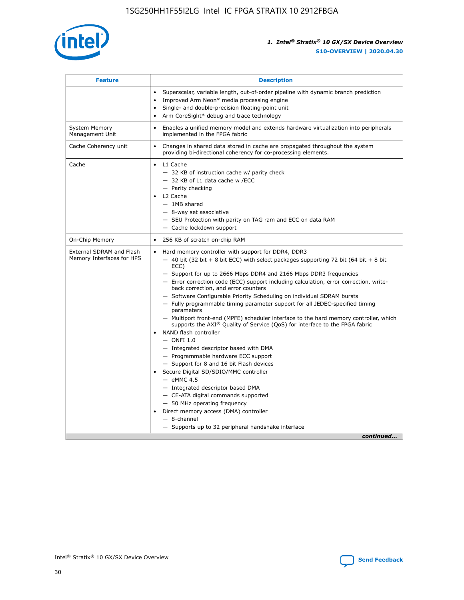

| <b>Feature</b>                                        | <b>Description</b>                                                                                                                                                                                                                                                                                                                                                                                                                                                                                                                                                                                                                                                                                                                                                                                                                                                                                                                                                                                                                                                                                                                                                                                                     |
|-------------------------------------------------------|------------------------------------------------------------------------------------------------------------------------------------------------------------------------------------------------------------------------------------------------------------------------------------------------------------------------------------------------------------------------------------------------------------------------------------------------------------------------------------------------------------------------------------------------------------------------------------------------------------------------------------------------------------------------------------------------------------------------------------------------------------------------------------------------------------------------------------------------------------------------------------------------------------------------------------------------------------------------------------------------------------------------------------------------------------------------------------------------------------------------------------------------------------------------------------------------------------------------|
|                                                       | Superscalar, variable length, out-of-order pipeline with dynamic branch prediction<br>Improved Arm Neon* media processing engine<br>$\bullet$<br>Single- and double-precision floating-point unit<br>Arm CoreSight* debug and trace technology<br>$\bullet$                                                                                                                                                                                                                                                                                                                                                                                                                                                                                                                                                                                                                                                                                                                                                                                                                                                                                                                                                            |
| <b>System Memory</b><br>Management Unit               | Enables a unified memory model and extends hardware virtualization into peripherals<br>$\bullet$<br>implemented in the FPGA fabric                                                                                                                                                                                                                                                                                                                                                                                                                                                                                                                                                                                                                                                                                                                                                                                                                                                                                                                                                                                                                                                                                     |
| Cache Coherency unit                                  | $\bullet$<br>Changes in shared data stored in cache are propagated throughout the system<br>providing bi-directional coherency for co-processing elements.                                                                                                                                                                                                                                                                                                                                                                                                                                                                                                                                                                                                                                                                                                                                                                                                                                                                                                                                                                                                                                                             |
| Cache                                                 | L1 Cache<br>$\bullet$<br>- 32 KB of instruction cache w/ parity check<br>- 32 KB of L1 data cache w /ECC<br>- Parity checking<br>L2 Cache<br>$-$ 1MB shared<br>- 8-way set associative<br>- SEU Protection with parity on TAG ram and ECC on data RAM<br>- Cache lockdown support                                                                                                                                                                                                                                                                                                                                                                                                                                                                                                                                                                                                                                                                                                                                                                                                                                                                                                                                      |
| On-Chip Memory                                        | 256 KB of scratch on-chip RAM<br>$\bullet$                                                                                                                                                                                                                                                                                                                                                                                                                                                                                                                                                                                                                                                                                                                                                                                                                                                                                                                                                                                                                                                                                                                                                                             |
| External SDRAM and Flash<br>Memory Interfaces for HPS | Hard memory controller with support for DDR4, DDR3<br>$\bullet$<br>$-$ 40 bit (32 bit + 8 bit ECC) with select packages supporting 72 bit (64 bit + 8 bit<br>ECC)<br>- Support for up to 2666 Mbps DDR4 and 2166 Mbps DDR3 frequencies<br>- Error correction code (ECC) support including calculation, error correction, write-<br>back correction, and error counters<br>- Software Configurable Priority Scheduling on individual SDRAM bursts<br>- Fully programmable timing parameter support for all JEDEC-specified timing<br>parameters<br>- Multiport front-end (MPFE) scheduler interface to the hard memory controller, which<br>supports the $AXI^{\circledR}$ Quality of Service (QoS) for interface to the FPGA fabric<br>NAND flash controller<br>$-$ ONFI 1.0<br>- Integrated descriptor based with DMA<br>- Programmable hardware ECC support<br>- Support for 8 and 16 bit Flash devices<br>Secure Digital SD/SDIO/MMC controller<br>$-$ eMMC 4.5<br>- Integrated descriptor based DMA<br>- CE-ATA digital commands supported<br>- 50 MHz operating frequency<br>Direct memory access (DMA) controller<br>$\bullet$<br>- 8-channel<br>- Supports up to 32 peripheral handshake interface<br>continued |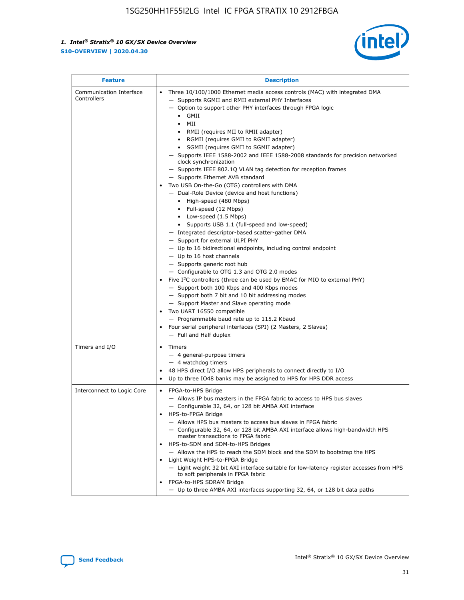

| <b>Feature</b>                         | <b>Description</b>                                                                                                                                                                                                                                                                                                                                                                                                                                                                                                                                                                                                                                                                                                                                                                                                                                                                                                                                                                                                                                                                                                                                                                                                                                                                                                                                                                                                                                                                                                     |
|----------------------------------------|------------------------------------------------------------------------------------------------------------------------------------------------------------------------------------------------------------------------------------------------------------------------------------------------------------------------------------------------------------------------------------------------------------------------------------------------------------------------------------------------------------------------------------------------------------------------------------------------------------------------------------------------------------------------------------------------------------------------------------------------------------------------------------------------------------------------------------------------------------------------------------------------------------------------------------------------------------------------------------------------------------------------------------------------------------------------------------------------------------------------------------------------------------------------------------------------------------------------------------------------------------------------------------------------------------------------------------------------------------------------------------------------------------------------------------------------------------------------------------------------------------------------|
| Communication Interface<br>Controllers | Three 10/100/1000 Ethernet media access controls (MAC) with integrated DMA<br>$\bullet$<br>- Supports RGMII and RMII external PHY Interfaces<br>- Option to support other PHY interfaces through FPGA logic<br>$\bullet$ GMII<br>MII<br>$\bullet$<br>RMII (requires MII to RMII adapter)<br>$\bullet$<br>• RGMII (requires GMII to RGMII adapter)<br>SGMII (requires GMII to SGMII adapter)<br>- Supports IEEE 1588-2002 and IEEE 1588-2008 standards for precision networked<br>clock synchronization<br>- Supports IEEE 802.1Q VLAN tag detection for reception frames<br>- Supports Ethernet AVB standard<br>Two USB On-the-Go (OTG) controllers with DMA<br>- Dual-Role Device (device and host functions)<br>• High-speed (480 Mbps)<br>• Full-speed (12 Mbps)<br>• Low-speed (1.5 Mbps)<br>• Supports USB 1.1 (full-speed and low-speed)<br>- Integrated descriptor-based scatter-gather DMA<br>- Support for external ULPI PHY<br>- Up to 16 bidirectional endpoints, including control endpoint<br>$-$ Up to 16 host channels<br>- Supports generic root hub<br>- Configurable to OTG 1.3 and OTG 2.0 modes<br>Five $I2C$ controllers (three can be used by EMAC for MIO to external PHY)<br>- Support both 100 Kbps and 400 Kbps modes<br>- Support both 7 bit and 10 bit addressing modes<br>- Support Master and Slave operating mode<br>Two UART 16550 compatible<br>- Programmable baud rate up to 115.2 Kbaud<br>Four serial peripheral interfaces (SPI) (2 Masters, 2 Slaves)<br>- Full and Half duplex |
| Timers and I/O                         | Timers<br>$\bullet$<br>- 4 general-purpose timers<br>$-4$ watchdog timers<br>48 HPS direct I/O allow HPS peripherals to connect directly to I/O<br>Up to three IO48 banks may be assigned to HPS for HPS DDR access                                                                                                                                                                                                                                                                                                                                                                                                                                                                                                                                                                                                                                                                                                                                                                                                                                                                                                                                                                                                                                                                                                                                                                                                                                                                                                    |
| Interconnect to Logic Core             | • FPGA-to-HPS Bridge<br>- Allows IP bus masters in the FPGA fabric to access to HPS bus slaves<br>- Configurable 32, 64, or 128 bit AMBA AXI interface<br>HPS-to-FPGA Bridge<br>- Allows HPS bus masters to access bus slaves in FPGA fabric<br>- Configurable 32, 64, or 128 bit AMBA AXI interface allows high-bandwidth HPS<br>master transactions to FPGA fabric<br>HPS-to-SDM and SDM-to-HPS Bridges<br>- Allows the HPS to reach the SDM block and the SDM to bootstrap the HPS<br>Light Weight HPS-to-FPGA Bridge<br>- Light weight 32 bit AXI interface suitable for low-latency register accesses from HPS<br>to soft peripherals in FPGA fabric<br>FPGA-to-HPS SDRAM Bridge<br>- Up to three AMBA AXI interfaces supporting 32, 64, or 128 bit data paths                                                                                                                                                                                                                                                                                                                                                                                                                                                                                                                                                                                                                                                                                                                                                    |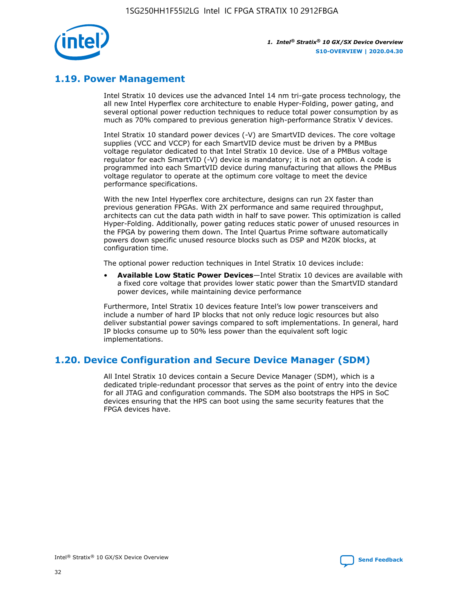

## **1.19. Power Management**

Intel Stratix 10 devices use the advanced Intel 14 nm tri-gate process technology, the all new Intel Hyperflex core architecture to enable Hyper-Folding, power gating, and several optional power reduction techniques to reduce total power consumption by as much as 70% compared to previous generation high-performance Stratix V devices.

Intel Stratix 10 standard power devices (-V) are SmartVID devices. The core voltage supplies (VCC and VCCP) for each SmartVID device must be driven by a PMBus voltage regulator dedicated to that Intel Stratix 10 device. Use of a PMBus voltage regulator for each SmartVID (-V) device is mandatory; it is not an option. A code is programmed into each SmartVID device during manufacturing that allows the PMBus voltage regulator to operate at the optimum core voltage to meet the device performance specifications.

With the new Intel Hyperflex core architecture, designs can run 2X faster than previous generation FPGAs. With 2X performance and same required throughput, architects can cut the data path width in half to save power. This optimization is called Hyper-Folding. Additionally, power gating reduces static power of unused resources in the FPGA by powering them down. The Intel Quartus Prime software automatically powers down specific unused resource blocks such as DSP and M20K blocks, at configuration time.

The optional power reduction techniques in Intel Stratix 10 devices include:

• **Available Low Static Power Devices**—Intel Stratix 10 devices are available with a fixed core voltage that provides lower static power than the SmartVID standard power devices, while maintaining device performance

Furthermore, Intel Stratix 10 devices feature Intel's low power transceivers and include a number of hard IP blocks that not only reduce logic resources but also deliver substantial power savings compared to soft implementations. In general, hard IP blocks consume up to 50% less power than the equivalent soft logic implementations.

## **1.20. Device Configuration and Secure Device Manager (SDM)**

All Intel Stratix 10 devices contain a Secure Device Manager (SDM), which is a dedicated triple-redundant processor that serves as the point of entry into the device for all JTAG and configuration commands. The SDM also bootstraps the HPS in SoC devices ensuring that the HPS can boot using the same security features that the FPGA devices have.

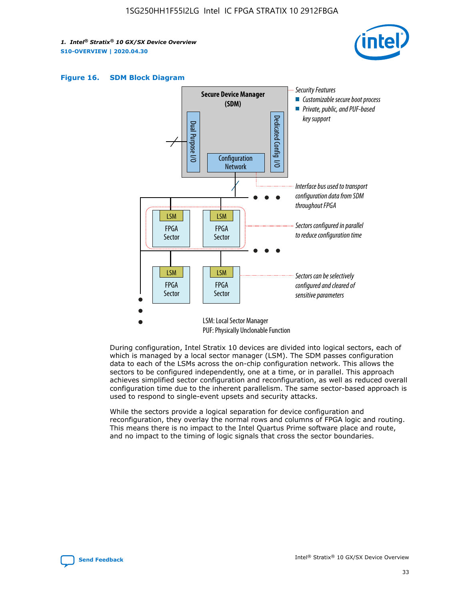





During configuration, Intel Stratix 10 devices are divided into logical sectors, each of which is managed by a local sector manager (LSM). The SDM passes configuration data to each of the LSMs across the on-chip configuration network. This allows the sectors to be configured independently, one at a time, or in parallel. This approach achieves simplified sector configuration and reconfiguration, as well as reduced overall configuration time due to the inherent parallelism. The same sector-based approach is used to respond to single-event upsets and security attacks.

While the sectors provide a logical separation for device configuration and reconfiguration, they overlay the normal rows and columns of FPGA logic and routing. This means there is no impact to the Intel Quartus Prime software place and route, and no impact to the timing of logic signals that cross the sector boundaries.

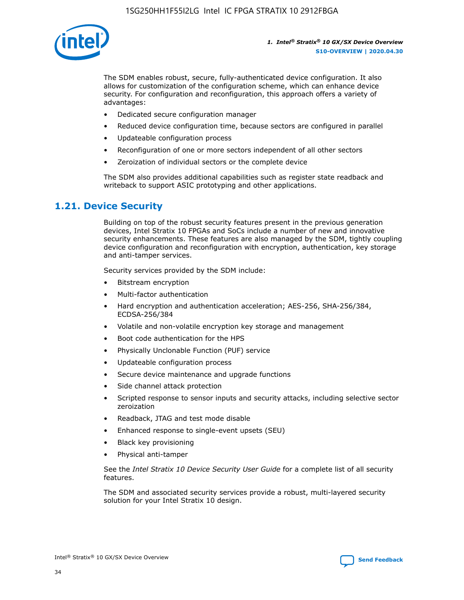

The SDM enables robust, secure, fully-authenticated device configuration. It also allows for customization of the configuration scheme, which can enhance device security. For configuration and reconfiguration, this approach offers a variety of advantages:

- Dedicated secure configuration manager
- Reduced device configuration time, because sectors are configured in parallel
- Updateable configuration process
- Reconfiguration of one or more sectors independent of all other sectors
- Zeroization of individual sectors or the complete device

The SDM also provides additional capabilities such as register state readback and writeback to support ASIC prototyping and other applications.

## **1.21. Device Security**

Building on top of the robust security features present in the previous generation devices, Intel Stratix 10 FPGAs and SoCs include a number of new and innovative security enhancements. These features are also managed by the SDM, tightly coupling device configuration and reconfiguration with encryption, authentication, key storage and anti-tamper services.

Security services provided by the SDM include:

- Bitstream encryption
- Multi-factor authentication
- Hard encryption and authentication acceleration; AES-256, SHA-256/384, ECDSA-256/384
- Volatile and non-volatile encryption key storage and management
- Boot code authentication for the HPS
- Physically Unclonable Function (PUF) service
- Updateable configuration process
- Secure device maintenance and upgrade functions
- Side channel attack protection
- Scripted response to sensor inputs and security attacks, including selective sector zeroization
- Readback, JTAG and test mode disable
- Enhanced response to single-event upsets (SEU)
- Black key provisioning
- Physical anti-tamper

See the *Intel Stratix 10 Device Security User Guide* for a complete list of all security features.

The SDM and associated security services provide a robust, multi-layered security solution for your Intel Stratix 10 design.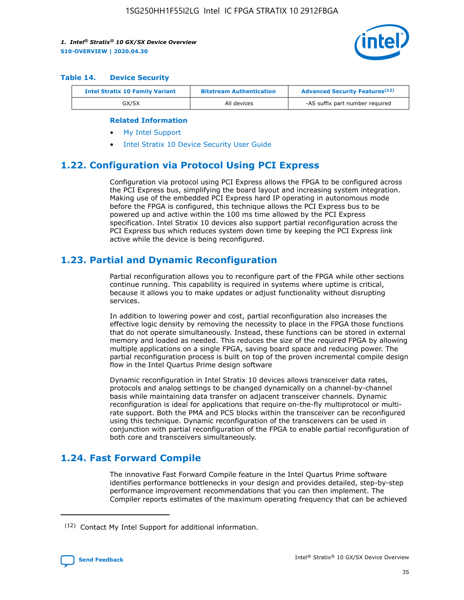

#### **Table 14. Device Security**

| <b>Intel Stratix 10 Family Variant</b> | <b>Bitstream Authentication</b> | <b>Advanced Security Features</b> <sup>(12)</sup> |
|----------------------------------------|---------------------------------|---------------------------------------------------|
| GX/SX                                  | All devices                     | -AS suffix part number required                   |

#### **Related Information**

- [My Intel Support](https://www.intel.com/content/www/us/en/programmable/my-intel/mal-home.html)
- [Intel Stratix 10 Device Security User Guide](https://www.intel.com/content/www/us/en/programmable/documentation/ndq1483601370898.html#wcd1483611014402)

## **1.22. Configuration via Protocol Using PCI Express**

Configuration via protocol using PCI Express allows the FPGA to be configured across the PCI Express bus, simplifying the board layout and increasing system integration. Making use of the embedded PCI Express hard IP operating in autonomous mode before the FPGA is configured, this technique allows the PCI Express bus to be powered up and active within the 100 ms time allowed by the PCI Express specification. Intel Stratix 10 devices also support partial reconfiguration across the PCI Express bus which reduces system down time by keeping the PCI Express link active while the device is being reconfigured.

## **1.23. Partial and Dynamic Reconfiguration**

Partial reconfiguration allows you to reconfigure part of the FPGA while other sections continue running. This capability is required in systems where uptime is critical, because it allows you to make updates or adjust functionality without disrupting services.

In addition to lowering power and cost, partial reconfiguration also increases the effective logic density by removing the necessity to place in the FPGA those functions that do not operate simultaneously. Instead, these functions can be stored in external memory and loaded as needed. This reduces the size of the required FPGA by allowing multiple applications on a single FPGA, saving board space and reducing power. The partial reconfiguration process is built on top of the proven incremental compile design flow in the Intel Quartus Prime design software

Dynamic reconfiguration in Intel Stratix 10 devices allows transceiver data rates, protocols and analog settings to be changed dynamically on a channel-by-channel basis while maintaining data transfer on adjacent transceiver channels. Dynamic reconfiguration is ideal for applications that require on-the-fly multiprotocol or multirate support. Both the PMA and PCS blocks within the transceiver can be reconfigured using this technique. Dynamic reconfiguration of the transceivers can be used in conjunction with partial reconfiguration of the FPGA to enable partial reconfiguration of both core and transceivers simultaneously.

## **1.24. Fast Forward Compile**

The innovative Fast Forward Compile feature in the Intel Quartus Prime software identifies performance bottlenecks in your design and provides detailed, step-by-step performance improvement recommendations that you can then implement. The Compiler reports estimates of the maximum operating frequency that can be achieved

<sup>(12)</sup> Contact My Intel Support for additional information.

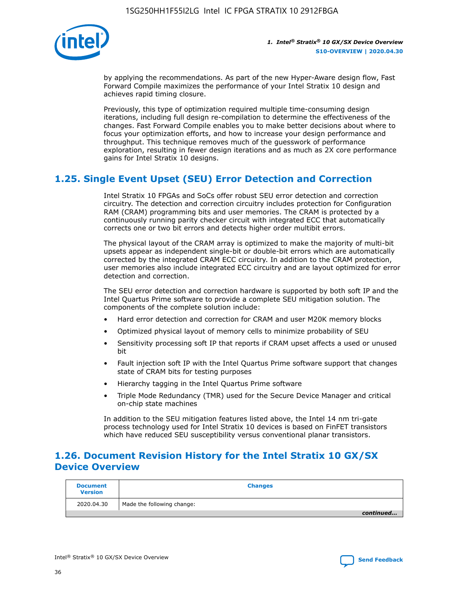

by applying the recommendations. As part of the new Hyper-Aware design flow, Fast Forward Compile maximizes the performance of your Intel Stratix 10 design and achieves rapid timing closure.

Previously, this type of optimization required multiple time-consuming design iterations, including full design re-compilation to determine the effectiveness of the changes. Fast Forward Compile enables you to make better decisions about where to focus your optimization efforts, and how to increase your design performance and throughput. This technique removes much of the guesswork of performance exploration, resulting in fewer design iterations and as much as 2X core performance gains for Intel Stratix 10 designs.

## **1.25. Single Event Upset (SEU) Error Detection and Correction**

Intel Stratix 10 FPGAs and SoCs offer robust SEU error detection and correction circuitry. The detection and correction circuitry includes protection for Configuration RAM (CRAM) programming bits and user memories. The CRAM is protected by a continuously running parity checker circuit with integrated ECC that automatically corrects one or two bit errors and detects higher order multibit errors.

The physical layout of the CRAM array is optimized to make the majority of multi-bit upsets appear as independent single-bit or double-bit errors which are automatically corrected by the integrated CRAM ECC circuitry. In addition to the CRAM protection, user memories also include integrated ECC circuitry and are layout optimized for error detection and correction.

The SEU error detection and correction hardware is supported by both soft IP and the Intel Quartus Prime software to provide a complete SEU mitigation solution. The components of the complete solution include:

- Hard error detection and correction for CRAM and user M20K memory blocks
- Optimized physical layout of memory cells to minimize probability of SEU
- Sensitivity processing soft IP that reports if CRAM upset affects a used or unused bit
- Fault injection soft IP with the Intel Quartus Prime software support that changes state of CRAM bits for testing purposes
- Hierarchy tagging in the Intel Quartus Prime software
- Triple Mode Redundancy (TMR) used for the Secure Device Manager and critical on-chip state machines

In addition to the SEU mitigation features listed above, the Intel 14 nm tri-gate process technology used for Intel Stratix 10 devices is based on FinFET transistors which have reduced SEU susceptibility versus conventional planar transistors.

## **1.26. Document Revision History for the Intel Stratix 10 GX/SX Device Overview**

| <b>Document</b><br><b>Version</b> | <b>Changes</b>             |
|-----------------------------------|----------------------------|
| 2020.04.30                        | Made the following change: |
|                                   | continued                  |

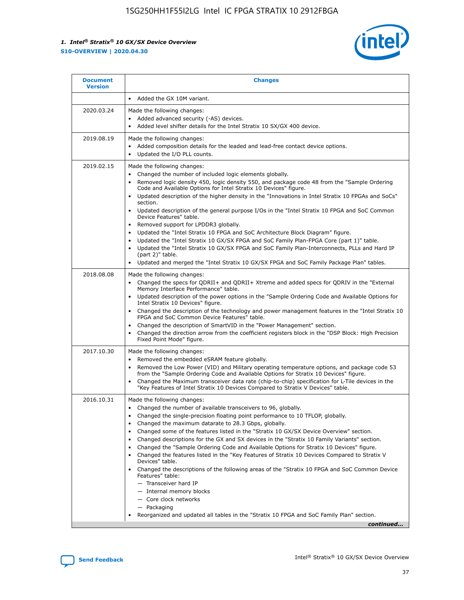

| <b>Document</b><br><b>Version</b> | <b>Changes</b>                                                                                                                                                                                                                                                                                                                                                                                                                                                                                                                                                                                                                                                                                                                                                                                                                                                                                                                                                                                                    |
|-----------------------------------|-------------------------------------------------------------------------------------------------------------------------------------------------------------------------------------------------------------------------------------------------------------------------------------------------------------------------------------------------------------------------------------------------------------------------------------------------------------------------------------------------------------------------------------------------------------------------------------------------------------------------------------------------------------------------------------------------------------------------------------------------------------------------------------------------------------------------------------------------------------------------------------------------------------------------------------------------------------------------------------------------------------------|
|                                   | Added the GX 10M variant.<br>$\bullet$                                                                                                                                                                                                                                                                                                                                                                                                                                                                                                                                                                                                                                                                                                                                                                                                                                                                                                                                                                            |
| 2020.03.24                        | Made the following changes:<br>Added advanced security (-AS) devices.<br>Added level shifter details for the Intel Stratix 10 SX/GX 400 device.                                                                                                                                                                                                                                                                                                                                                                                                                                                                                                                                                                                                                                                                                                                                                                                                                                                                   |
| 2019.08.19                        | Made the following changes:<br>Added composition details for the leaded and lead-free contact device options.<br>Updated the I/O PLL counts.<br>$\bullet$                                                                                                                                                                                                                                                                                                                                                                                                                                                                                                                                                                                                                                                                                                                                                                                                                                                         |
| 2019.02.15                        | Made the following changes:<br>Changed the number of included logic elements globally.<br>Removed logic density 450, logic density 550, and package code 48 from the "Sample Ordering<br>$\bullet$<br>Code and Available Options for Intel Stratix 10 Devices" figure.<br>Updated description of the higher density in the "Innovations in Intel Stratix 10 FPGAs and SoCs"<br>section.<br>Updated description of the general purpose I/Os in the "Intel Stratix 10 FPGA and SoC Common<br>Device Features" table.<br>Removed support for LPDDR3 globally.<br>Updated the "Intel Stratix 10 FPGA and SoC Architecture Block Diagram" figure.<br>$\bullet$<br>Updated the "Intel Stratix 10 GX/SX FPGA and SoC Family Plan-FPGA Core (part 1)" table.<br>$\bullet$<br>Updated the "Intel Stratix 10 GX/SX FPGA and SoC Family Plan-Interconnects, PLLs and Hard IP<br>(part 2)" table.<br>Updated and merged the "Intel Stratix 10 GX/SX FPGA and SoC Family Package Plan" tables.                                 |
| 2018.08.08                        | Made the following changes:<br>Changed the specs for QDRII+ and QDRII+ Xtreme and added specs for QDRIV in the "External<br>$\bullet$<br>Memory Interface Performance" table.<br>Updated description of the power options in the "Sample Ordering Code and Available Options for<br>Intel Stratix 10 Devices" figure.<br>Changed the description of the technology and power management features in the "Intel Stratix 10<br>FPGA and SoC Common Device Features" table.<br>Changed the description of SmartVID in the "Power Management" section.<br>Changed the direction arrow from the coefficient registers block in the "DSP Block: High Precision<br>Fixed Point Mode" figure.                                                                                                                                                                                                                                                                                                                             |
| 2017.10.30                        | Made the following changes:<br>Removed the embedded eSRAM feature globally.<br>$\bullet$<br>Removed the Low Power (VID) and Military operating temperature options, and package code 53<br>$\bullet$<br>from the "Sample Ordering Code and Available Options for Stratix 10 Devices" figure.<br>Changed the Maximum transceiver data rate (chip-to-chip) specification for L-Tile devices in the<br>"Key Features of Intel Stratix 10 Devices Compared to Stratix V Devices" table.                                                                                                                                                                                                                                                                                                                                                                                                                                                                                                                               |
| 2016.10.31                        | Made the following changes:<br>• Changed the number of available transceivers to 96, globally.<br>Changed the single-precision floating point performance to 10 TFLOP, globally.<br>Changed the maximum datarate to 28.3 Gbps, globally.<br>$\bullet$<br>Changed some of the features listed in the "Stratix 10 GX/SX Device Overview" section.<br>$\bullet$<br>Changed descriptions for the GX and SX devices in the "Stratix 10 Family Variants" section.<br>$\bullet$<br>Changed the "Sample Ordering Code and Available Options for Stratix 10 Devices" figure.<br>Changed the features listed in the "Key Features of Stratix 10 Devices Compared to Stratix V<br>Devices" table.<br>Changed the descriptions of the following areas of the "Stratix 10 FPGA and SoC Common Device<br>Features" table:<br>- Transceiver hard IP<br>- Internal memory blocks<br>- Core clock networks<br>- Packaging<br>Reorganized and updated all tables in the "Stratix 10 FPGA and SoC Family Plan" section.<br>continued |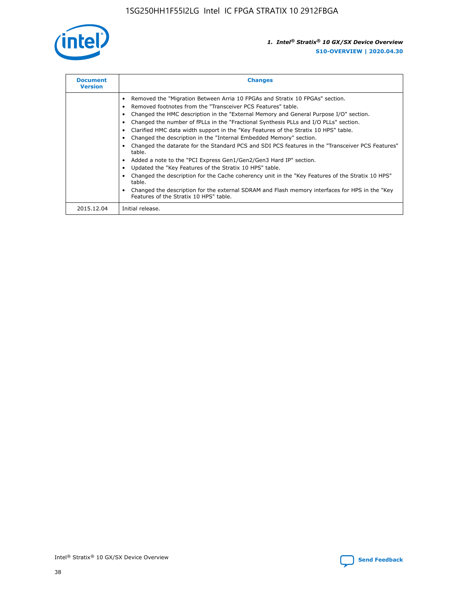

| <b>Document</b><br><b>Version</b> | <b>Changes</b>                                                                                                                                                                                                                                                                                                                                                                                                                                                                                                                                                                                                                                                                                                                                                                                                                                                                                                                                                                                     |
|-----------------------------------|----------------------------------------------------------------------------------------------------------------------------------------------------------------------------------------------------------------------------------------------------------------------------------------------------------------------------------------------------------------------------------------------------------------------------------------------------------------------------------------------------------------------------------------------------------------------------------------------------------------------------------------------------------------------------------------------------------------------------------------------------------------------------------------------------------------------------------------------------------------------------------------------------------------------------------------------------------------------------------------------------|
|                                   | Removed the "Migration Between Arria 10 FPGAs and Stratix 10 FPGAs" section.<br>Removed footnotes from the "Transceiver PCS Features" table.<br>Changed the HMC description in the "External Memory and General Purpose I/O" section.<br>Changed the number of fPLLs in the "Fractional Synthesis PLLs and I/O PLLs" section.<br>Clarified HMC data width support in the "Key Features of the Stratix 10 HPS" table.<br>Changed the description in the "Internal Embedded Memory" section.<br>Changed the datarate for the Standard PCS and SDI PCS features in the "Transceiver PCS Features"<br>table.<br>Added a note to the "PCI Express Gen1/Gen2/Gen3 Hard IP" section.<br>Updated the "Key Features of the Stratix 10 HPS" table.<br>Changed the description for the Cache coherency unit in the "Key Features of the Stratix 10 HPS"<br>table.<br>Changed the description for the external SDRAM and Flash memory interfaces for HPS in the "Key<br>Features of the Stratix 10 HPS" table. |
| 2015.12.04                        | Initial release.                                                                                                                                                                                                                                                                                                                                                                                                                                                                                                                                                                                                                                                                                                                                                                                                                                                                                                                                                                                   |